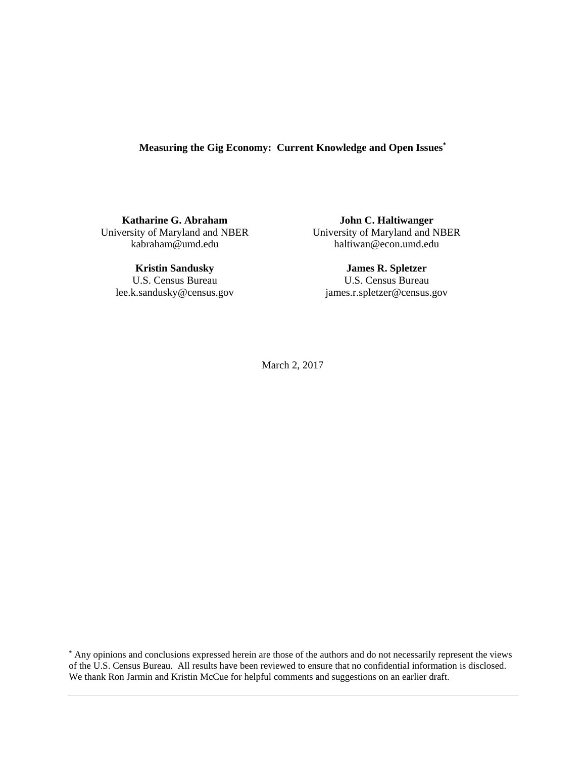# **Measuring the Gig Economy: Current Knowledge and Open Issues\***

**Katharine G. Abraham**  University of Maryland and NBER kabraham@umd.edu

**Kristin Sandusky**  U.S. Census Bureau lee.k.sandusky@census.gov

**John C. Haltiwanger**  University of Maryland and NBER haltiwan@econ.umd.edu

**James R. Spletzer**  U.S. Census Bureau james.r.spletzer@census.gov

March 2, 2017

\* Any opinions and conclusions expressed herein are those of the authors and do not necessarily represent the views of the U.S. Census Bureau. All results have been reviewed to ensure that no confidential information is disclosed. We thank Ron Jarmin and Kristin McCue for helpful comments and suggestions on an earlier draft.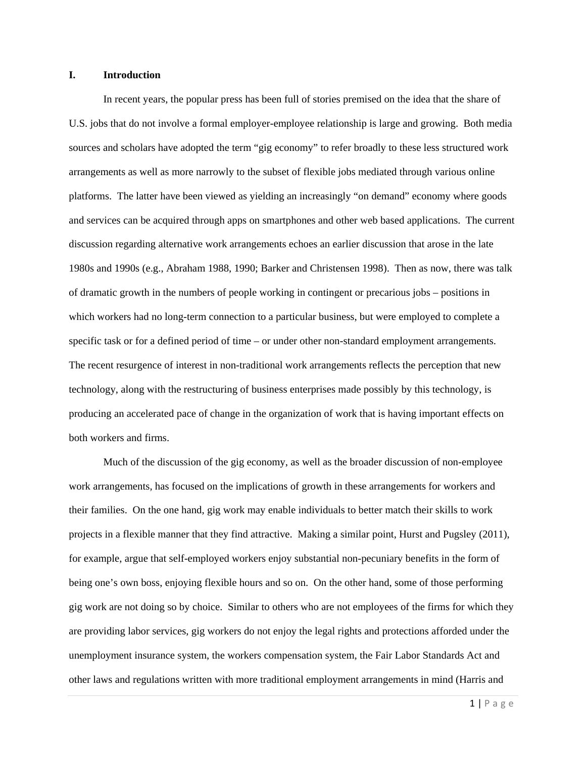#### **I. Introduction**

 In recent years, the popular press has been full of stories premised on the idea that the share of U.S. jobs that do not involve a formal employer-employee relationship is large and growing. Both media sources and scholars have adopted the term "gig economy" to refer broadly to these less structured work arrangements as well as more narrowly to the subset of flexible jobs mediated through various online platforms. The latter have been viewed as yielding an increasingly "on demand" economy where goods and services can be acquired through apps on smartphones and other web based applications. The current discussion regarding alternative work arrangements echoes an earlier discussion that arose in the late 1980s and 1990s (e.g., Abraham 1988, 1990; Barker and Christensen 1998). Then as now, there was talk of dramatic growth in the numbers of people working in contingent or precarious jobs – positions in which workers had no long-term connection to a particular business, but were employed to complete a specific task or for a defined period of time – or under other non-standard employment arrangements. The recent resurgence of interest in non-traditional work arrangements reflects the perception that new technology, along with the restructuring of business enterprises made possibly by this technology, is producing an accelerated pace of change in the organization of work that is having important effects on both workers and firms.

 Much of the discussion of the gig economy, as well as the broader discussion of non-employee work arrangements, has focused on the implications of growth in these arrangements for workers and their families. On the one hand, gig work may enable individuals to better match their skills to work projects in a flexible manner that they find attractive. Making a similar point, Hurst and Pugsley (2011), for example, argue that self-employed workers enjoy substantial non-pecuniary benefits in the form of being one's own boss, enjoying flexible hours and so on. On the other hand, some of those performing gig work are not doing so by choice. Similar to others who are not employees of the firms for which they are providing labor services, gig workers do not enjoy the legal rights and protections afforded under the unemployment insurance system, the workers compensation system, the Fair Labor Standards Act and other laws and regulations written with more traditional employment arrangements in mind (Harris and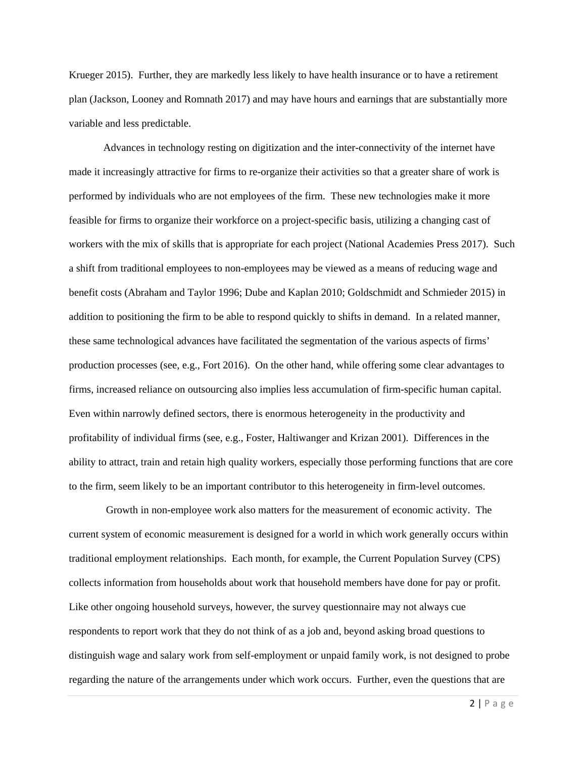Krueger 2015). Further, they are markedly less likely to have health insurance or to have a retirement plan (Jackson, Looney and Romnath 2017) and may have hours and earnings that are substantially more variable and less predictable.

 Advances in technology resting on digitization and the inter-connectivity of the internet have made it increasingly attractive for firms to re-organize their activities so that a greater share of work is performed by individuals who are not employees of the firm. These new technologies make it more feasible for firms to organize their workforce on a project-specific basis, utilizing a changing cast of workers with the mix of skills that is appropriate for each project (National Academies Press 2017). Such a shift from traditional employees to non-employees may be viewed as a means of reducing wage and benefit costs (Abraham and Taylor 1996; Dube and Kaplan 2010; Goldschmidt and Schmieder 2015) in addition to positioning the firm to be able to respond quickly to shifts in demand. In a related manner, these same technological advances have facilitated the segmentation of the various aspects of firms' production processes (see, e.g., Fort 2016). On the other hand, while offering some clear advantages to firms, increased reliance on outsourcing also implies less accumulation of firm-specific human capital. Even within narrowly defined sectors, there is enormous heterogeneity in the productivity and profitability of individual firms (see, e.g., Foster, Haltiwanger and Krizan 2001). Differences in the ability to attract, train and retain high quality workers, especially those performing functions that are core to the firm, seem likely to be an important contributor to this heterogeneity in firm-level outcomes.

 Growth in non-employee work also matters for the measurement of economic activity. The current system of economic measurement is designed for a world in which work generally occurs within traditional employment relationships. Each month, for example, the Current Population Survey (CPS) collects information from households about work that household members have done for pay or profit. Like other ongoing household surveys, however, the survey questionnaire may not always cue respondents to report work that they do not think of as a job and, beyond asking broad questions to distinguish wage and salary work from self-employment or unpaid family work, is not designed to probe regarding the nature of the arrangements under which work occurs. Further, even the questions that are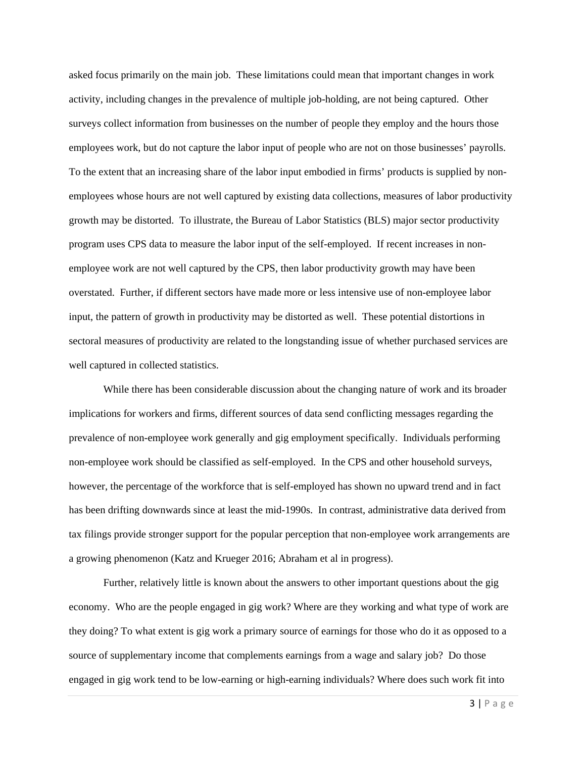asked focus primarily on the main job. These limitations could mean that important changes in work activity, including changes in the prevalence of multiple job-holding, are not being captured. Other surveys collect information from businesses on the number of people they employ and the hours those employees work, but do not capture the labor input of people who are not on those businesses' payrolls. To the extent that an increasing share of the labor input embodied in firms' products is supplied by nonemployees whose hours are not well captured by existing data collections, measures of labor productivity growth may be distorted. To illustrate, the Bureau of Labor Statistics (BLS) major sector productivity program uses CPS data to measure the labor input of the self-employed. If recent increases in nonemployee work are not well captured by the CPS, then labor productivity growth may have been overstated. Further, if different sectors have made more or less intensive use of non-employee labor input, the pattern of growth in productivity may be distorted as well. These potential distortions in sectoral measures of productivity are related to the longstanding issue of whether purchased services are well captured in collected statistics.

While there has been considerable discussion about the changing nature of work and its broader implications for workers and firms, different sources of data send conflicting messages regarding the prevalence of non-employee work generally and gig employment specifically. Individuals performing non-employee work should be classified as self-employed. In the CPS and other household surveys, however, the percentage of the workforce that is self-employed has shown no upward trend and in fact has been drifting downwards since at least the mid-1990s. In contrast, administrative data derived from tax filings provide stronger support for the popular perception that non-employee work arrangements are a growing phenomenon (Katz and Krueger 2016; Abraham et al in progress).

 Further, relatively little is known about the answers to other important questions about the gig economy. Who are the people engaged in gig work? Where are they working and what type of work are they doing? To what extent is gig work a primary source of earnings for those who do it as opposed to a source of supplementary income that complements earnings from a wage and salary job? Do those engaged in gig work tend to be low-earning or high-earning individuals? Where does such work fit into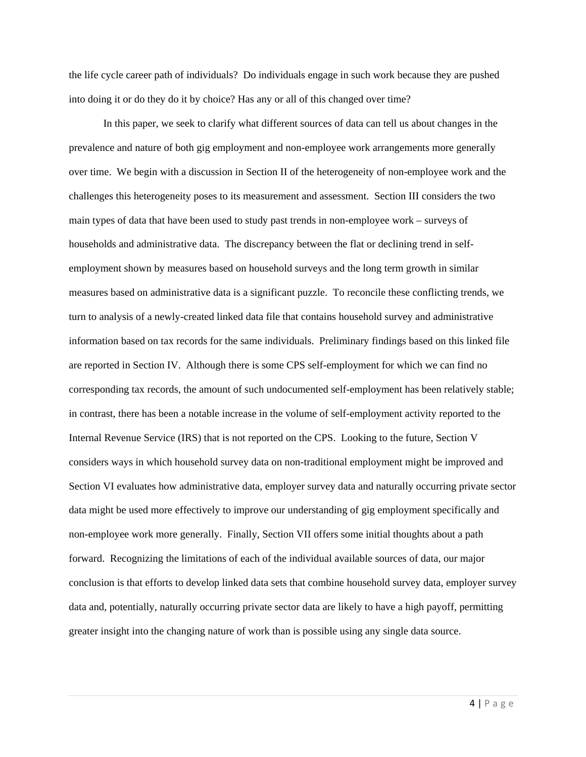the life cycle career path of individuals? Do individuals engage in such work because they are pushed into doing it or do they do it by choice? Has any or all of this changed over time?

In this paper, we seek to clarify what different sources of data can tell us about changes in the prevalence and nature of both gig employment and non-employee work arrangements more generally over time. We begin with a discussion in Section II of the heterogeneity of non-employee work and the challenges this heterogeneity poses to its measurement and assessment. Section III considers the two main types of data that have been used to study past trends in non-employee work – surveys of households and administrative data. The discrepancy between the flat or declining trend in selfemployment shown by measures based on household surveys and the long term growth in similar measures based on administrative data is a significant puzzle. To reconcile these conflicting trends, we turn to analysis of a newly-created linked data file that contains household survey and administrative information based on tax records for the same individuals. Preliminary findings based on this linked file are reported in Section IV. Although there is some CPS self-employment for which we can find no corresponding tax records, the amount of such undocumented self-employment has been relatively stable; in contrast, there has been a notable increase in the volume of self-employment activity reported to the Internal Revenue Service (IRS) that is not reported on the CPS. Looking to the future, Section V considers ways in which household survey data on non-traditional employment might be improved and Section VI evaluates how administrative data, employer survey data and naturally occurring private sector data might be used more effectively to improve our understanding of gig employment specifically and non-employee work more generally. Finally, Section VII offers some initial thoughts about a path forward. Recognizing the limitations of each of the individual available sources of data, our major conclusion is that efforts to develop linked data sets that combine household survey data, employer survey data and, potentially, naturally occurring private sector data are likely to have a high payoff, permitting greater insight into the changing nature of work than is possible using any single data source.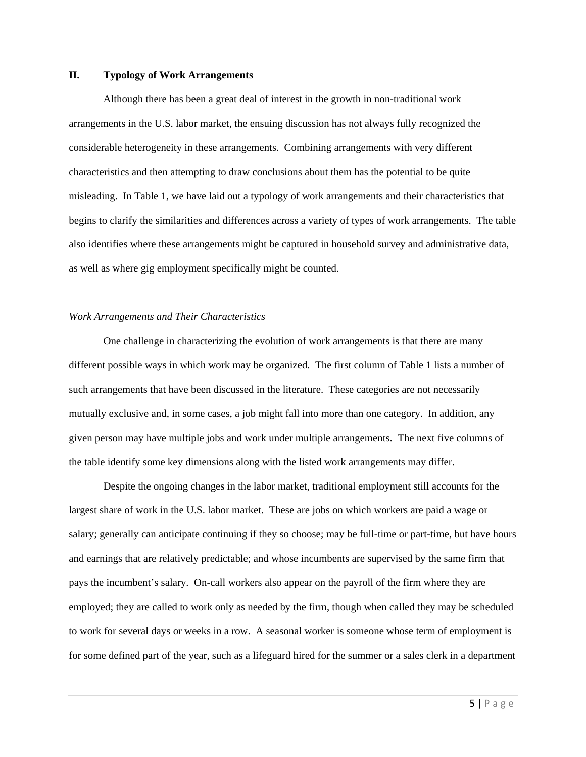#### **II. Typology of Work Arrangements**

 Although there has been a great deal of interest in the growth in non-traditional work arrangements in the U.S. labor market, the ensuing discussion has not always fully recognized the considerable heterogeneity in these arrangements. Combining arrangements with very different characteristics and then attempting to draw conclusions about them has the potential to be quite misleading. In Table 1, we have laid out a typology of work arrangements and their characteristics that begins to clarify the similarities and differences across a variety of types of work arrangements. The table also identifies where these arrangements might be captured in household survey and administrative data, as well as where gig employment specifically might be counted.

#### *Work Arrangements and Their Characteristics*

 One challenge in characterizing the evolution of work arrangements is that there are many different possible ways in which work may be organized. The first column of Table 1 lists a number of such arrangements that have been discussed in the literature. These categories are not necessarily mutually exclusive and, in some cases, a job might fall into more than one category. In addition, any given person may have multiple jobs and work under multiple arrangements. The next five columns of the table identify some key dimensions along with the listed work arrangements may differ.

 Despite the ongoing changes in the labor market, traditional employment still accounts for the largest share of work in the U.S. labor market. These are jobs on which workers are paid a wage or salary; generally can anticipate continuing if they so choose; may be full-time or part-time, but have hours and earnings that are relatively predictable; and whose incumbents are supervised by the same firm that pays the incumbent's salary. On-call workers also appear on the payroll of the firm where they are employed; they are called to work only as needed by the firm, though when called they may be scheduled to work for several days or weeks in a row. A seasonal worker is someone whose term of employment is for some defined part of the year, such as a lifeguard hired for the summer or a sales clerk in a department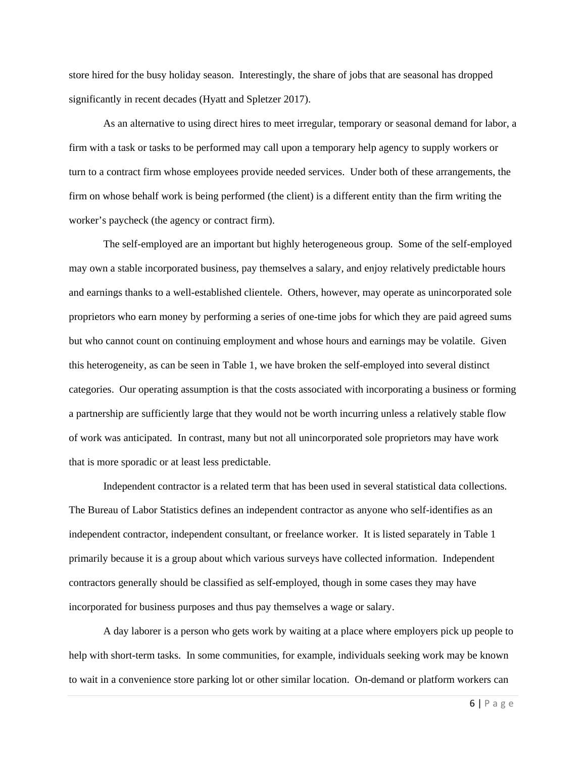store hired for the busy holiday season. Interestingly, the share of jobs that are seasonal has dropped significantly in recent decades (Hyatt and Spletzer 2017).

 As an alternative to using direct hires to meet irregular, temporary or seasonal demand for labor, a firm with a task or tasks to be performed may call upon a temporary help agency to supply workers or turn to a contract firm whose employees provide needed services. Under both of these arrangements, the firm on whose behalf work is being performed (the client) is a different entity than the firm writing the worker's paycheck (the agency or contract firm).

 The self-employed are an important but highly heterogeneous group. Some of the self-employed may own a stable incorporated business, pay themselves a salary, and enjoy relatively predictable hours and earnings thanks to a well-established clientele. Others, however, may operate as unincorporated sole proprietors who earn money by performing a series of one-time jobs for which they are paid agreed sums but who cannot count on continuing employment and whose hours and earnings may be volatile. Given this heterogeneity, as can be seen in Table 1, we have broken the self-employed into several distinct categories. Our operating assumption is that the costs associated with incorporating a business or forming a partnership are sufficiently large that they would not be worth incurring unless a relatively stable flow of work was anticipated. In contrast, many but not all unincorporated sole proprietors may have work that is more sporadic or at least less predictable.

 Independent contractor is a related term that has been used in several statistical data collections. The Bureau of Labor Statistics defines an independent contractor as anyone who self-identifies as an independent contractor, independent consultant, or freelance worker. It is listed separately in Table 1 primarily because it is a group about which various surveys have collected information. Independent contractors generally should be classified as self-employed, though in some cases they may have incorporated for business purposes and thus pay themselves a wage or salary.

 A day laborer is a person who gets work by waiting at a place where employers pick up people to help with short-term tasks. In some communities, for example, individuals seeking work may be known to wait in a convenience store parking lot or other similar location. On-demand or platform workers can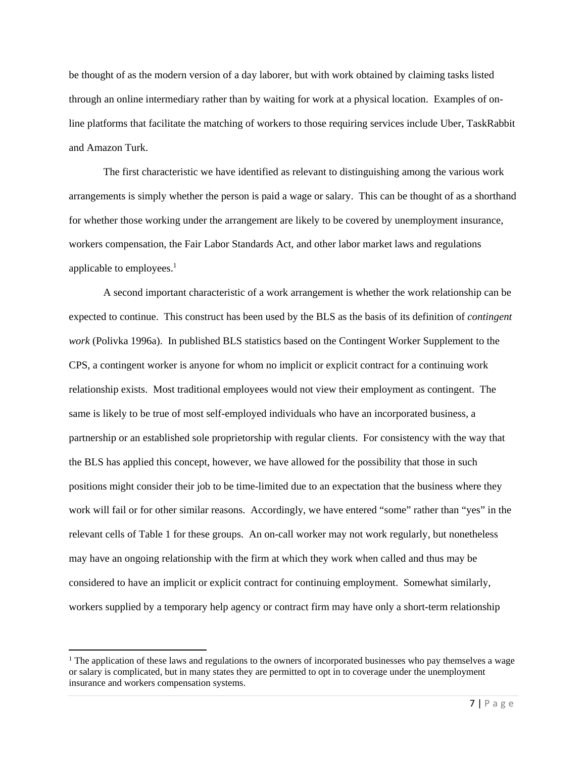be thought of as the modern version of a day laborer, but with work obtained by claiming tasks listed through an online intermediary rather than by waiting for work at a physical location. Examples of online platforms that facilitate the matching of workers to those requiring services include Uber, TaskRabbit and Amazon Turk.

 The first characteristic we have identified as relevant to distinguishing among the various work arrangements is simply whether the person is paid a wage or salary. This can be thought of as a shorthand for whether those working under the arrangement are likely to be covered by unemployment insurance, workers compensation, the Fair Labor Standards Act, and other labor market laws and regulations applicable to employees. $<sup>1</sup>$ </sup>

 A second important characteristic of a work arrangement is whether the work relationship can be expected to continue. This construct has been used by the BLS as the basis of its definition of *contingent work* (Polivka 1996a). In published BLS statistics based on the Contingent Worker Supplement to the CPS, a contingent worker is anyone for whom no implicit or explicit contract for a continuing work relationship exists. Most traditional employees would not view their employment as contingent. The same is likely to be true of most self-employed individuals who have an incorporated business, a partnership or an established sole proprietorship with regular clients. For consistency with the way that the BLS has applied this concept, however, we have allowed for the possibility that those in such positions might consider their job to be time-limited due to an expectation that the business where they work will fail or for other similar reasons. Accordingly, we have entered "some" rather than "yes" in the relevant cells of Table 1 for these groups. An on-call worker may not work regularly, but nonetheless may have an ongoing relationship with the firm at which they work when called and thus may be considered to have an implicit or explicit contract for continuing employment. Somewhat similarly, workers supplied by a temporary help agency or contract firm may have only a short-term relationship

<sup>&</sup>lt;sup>1</sup> The application of these laws and regulations to the owners of incorporated businesses who pay themselves a wage or salary is complicated, but in many states they are permitted to opt in to coverage under the unemployment insurance and workers compensation systems.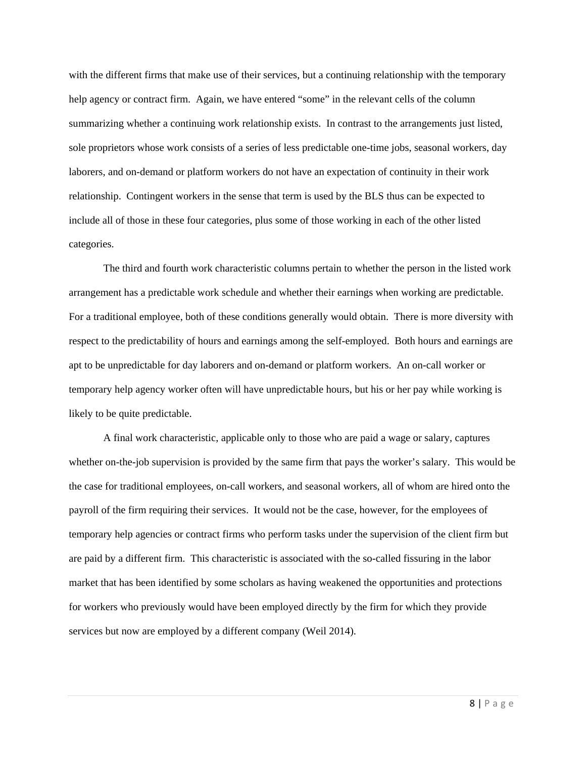with the different firms that make use of their services, but a continuing relationship with the temporary help agency or contract firm. Again, we have entered "some" in the relevant cells of the column summarizing whether a continuing work relationship exists. In contrast to the arrangements just listed, sole proprietors whose work consists of a series of less predictable one-time jobs, seasonal workers, day laborers, and on-demand or platform workers do not have an expectation of continuity in their work relationship. Contingent workers in the sense that term is used by the BLS thus can be expected to include all of those in these four categories, plus some of those working in each of the other listed categories.

 The third and fourth work characteristic columns pertain to whether the person in the listed work arrangement has a predictable work schedule and whether their earnings when working are predictable. For a traditional employee, both of these conditions generally would obtain. There is more diversity with respect to the predictability of hours and earnings among the self-employed. Both hours and earnings are apt to be unpredictable for day laborers and on-demand or platform workers. An on-call worker or temporary help agency worker often will have unpredictable hours, but his or her pay while working is likely to be quite predictable.

 A final work characteristic, applicable only to those who are paid a wage or salary, captures whether on-the-job supervision is provided by the same firm that pays the worker's salary. This would be the case for traditional employees, on-call workers, and seasonal workers, all of whom are hired onto the payroll of the firm requiring their services. It would not be the case, however, for the employees of temporary help agencies or contract firms who perform tasks under the supervision of the client firm but are paid by a different firm. This characteristic is associated with the so-called fissuring in the labor market that has been identified by some scholars as having weakened the opportunities and protections for workers who previously would have been employed directly by the firm for which they provide services but now are employed by a different company (Weil 2014).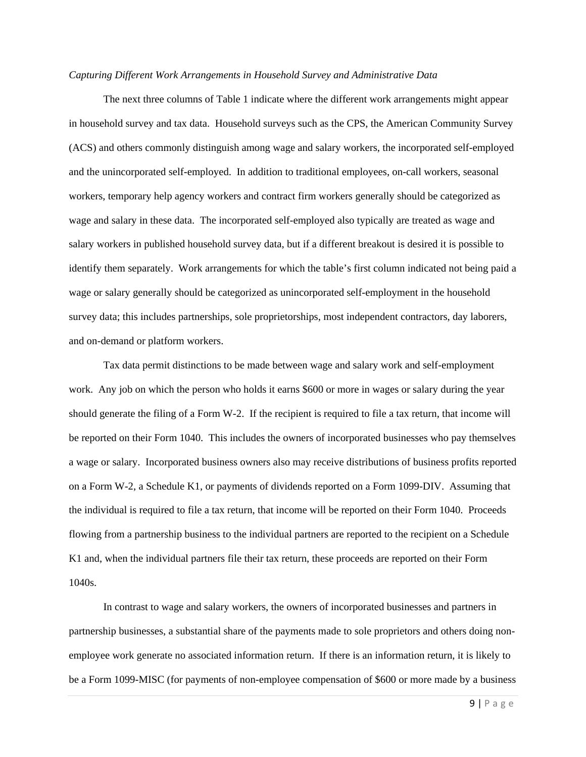#### *Capturing Different Work Arrangements in Household Survey and Administrative Data*

 The next three columns of Table 1 indicate where the different work arrangements might appear in household survey and tax data. Household surveys such as the CPS, the American Community Survey (ACS) and others commonly distinguish among wage and salary workers, the incorporated self-employed and the unincorporated self-employed. In addition to traditional employees, on-call workers, seasonal workers, temporary help agency workers and contract firm workers generally should be categorized as wage and salary in these data. The incorporated self-employed also typically are treated as wage and salary workers in published household survey data, but if a different breakout is desired it is possible to identify them separately. Work arrangements for which the table's first column indicated not being paid a wage or salary generally should be categorized as unincorporated self-employment in the household survey data; this includes partnerships, sole proprietorships, most independent contractors, day laborers, and on-demand or platform workers.

 Tax data permit distinctions to be made between wage and salary work and self-employment work. Any job on which the person who holds it earns \$600 or more in wages or salary during the year should generate the filing of a Form W-2. If the recipient is required to file a tax return, that income will be reported on their Form 1040. This includes the owners of incorporated businesses who pay themselves a wage or salary. Incorporated business owners also may receive distributions of business profits reported on a Form W-2, a Schedule K1, or payments of dividends reported on a Form 1099-DIV. Assuming that the individual is required to file a tax return, that income will be reported on their Form 1040. Proceeds flowing from a partnership business to the individual partners are reported to the recipient on a Schedule K1 and, when the individual partners file their tax return, these proceeds are reported on their Form 1040s.

 In contrast to wage and salary workers, the owners of incorporated businesses and partners in partnership businesses, a substantial share of the payments made to sole proprietors and others doing nonemployee work generate no associated information return. If there is an information return, it is likely to be a Form 1099-MISC (for payments of non-employee compensation of \$600 or more made by a business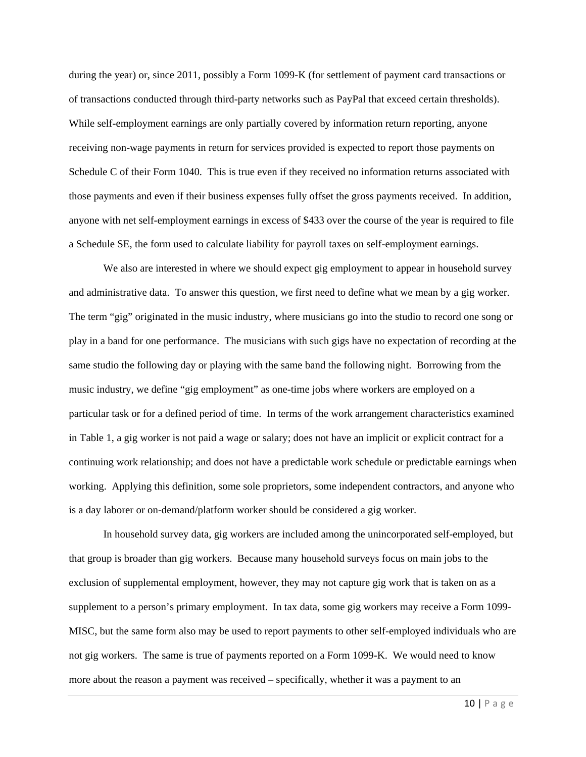during the year) or, since 2011, possibly a Form 1099-K (for settlement of payment card transactions or of transactions conducted through third-party networks such as PayPal that exceed certain thresholds). While self-employment earnings are only partially covered by information return reporting, anyone receiving non-wage payments in return for services provided is expected to report those payments on Schedule C of their Form 1040. This is true even if they received no information returns associated with those payments and even if their business expenses fully offset the gross payments received. In addition, anyone with net self-employment earnings in excess of \$433 over the course of the year is required to file a Schedule SE, the form used to calculate liability for payroll taxes on self-employment earnings.

We also are interested in where we should expect gig employment to appear in household survey and administrative data. To answer this question, we first need to define what we mean by a gig worker. The term "gig" originated in the music industry, where musicians go into the studio to record one song or play in a band for one performance. The musicians with such gigs have no expectation of recording at the same studio the following day or playing with the same band the following night. Borrowing from the music industry, we define "gig employment" as one-time jobs where workers are employed on a particular task or for a defined period of time. In terms of the work arrangement characteristics examined in Table 1, a gig worker is not paid a wage or salary; does not have an implicit or explicit contract for a continuing work relationship; and does not have a predictable work schedule or predictable earnings when working. Applying this definition, some sole proprietors, some independent contractors, and anyone who is a day laborer or on-demand/platform worker should be considered a gig worker.

 In household survey data, gig workers are included among the unincorporated self-employed, but that group is broader than gig workers. Because many household surveys focus on main jobs to the exclusion of supplemental employment, however, they may not capture gig work that is taken on as a supplement to a person's primary employment. In tax data, some gig workers may receive a Form 1099- MISC, but the same form also may be used to report payments to other self-employed individuals who are not gig workers. The same is true of payments reported on a Form 1099-K. We would need to know more about the reason a payment was received – specifically, whether it was a payment to an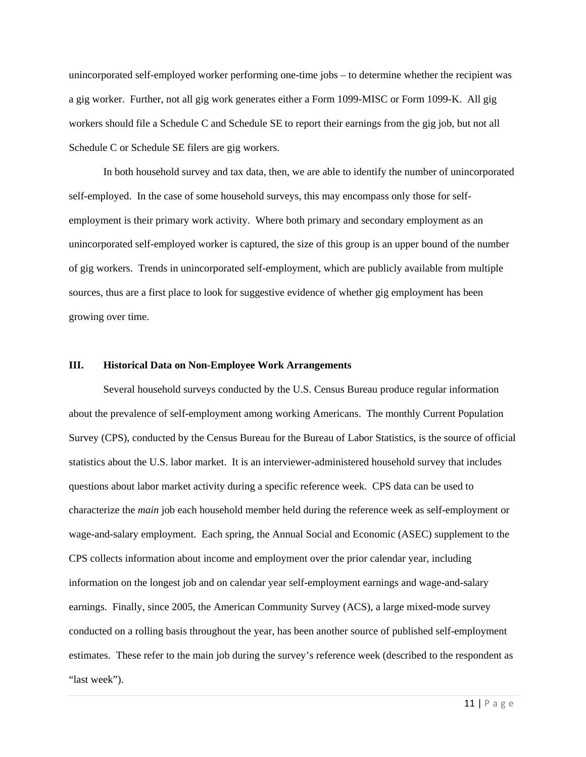unincorporated self-employed worker performing one-time jobs – to determine whether the recipient was a gig worker. Further, not all gig work generates either a Form 1099-MISC or Form 1099-K. All gig workers should file a Schedule C and Schedule SE to report their earnings from the gig job, but not all Schedule C or Schedule SE filers are gig workers.

 In both household survey and tax data, then, we are able to identify the number of unincorporated self-employed. In the case of some household surveys, this may encompass only those for selfemployment is their primary work activity. Where both primary and secondary employment as an unincorporated self-employed worker is captured, the size of this group is an upper bound of the number of gig workers. Trends in unincorporated self-employment, which are publicly available from multiple sources, thus are a first place to look for suggestive evidence of whether gig employment has been growing over time.

### **III. Historical Data on Non-Employee Work Arrangements**

 Several household surveys conducted by the U.S. Census Bureau produce regular information about the prevalence of self-employment among working Americans. The monthly Current Population Survey (CPS), conducted by the Census Bureau for the Bureau of Labor Statistics, is the source of official statistics about the U.S. labor market. It is an interviewer-administered household survey that includes questions about labor market activity during a specific reference week. CPS data can be used to characterize the *main* job each household member held during the reference week as self-employment or wage-and-salary employment. Each spring, the Annual Social and Economic (ASEC) supplement to the CPS collects information about income and employment over the prior calendar year, including information on the longest job and on calendar year self-employment earnings and wage-and-salary earnings. Finally, since 2005, the American Community Survey (ACS), a large mixed-mode survey conducted on a rolling basis throughout the year, has been another source of published self-employment estimates. These refer to the main job during the survey's reference week (described to the respondent as "last week").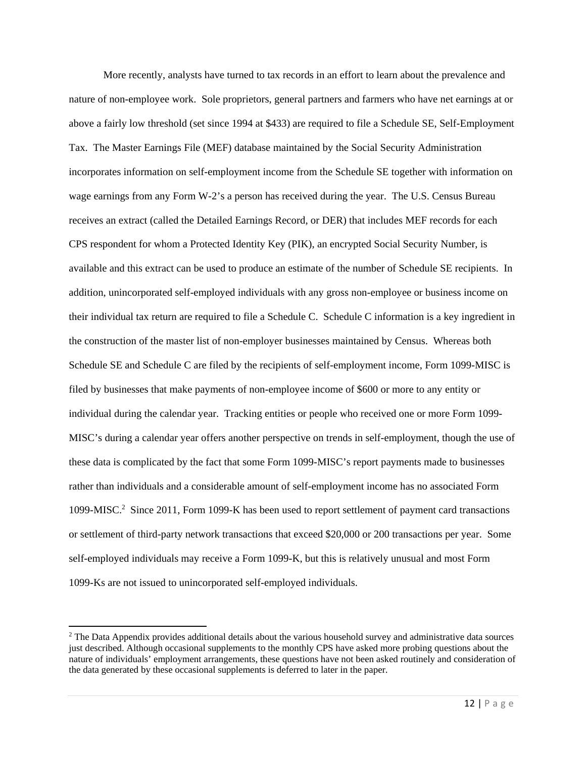More recently, analysts have turned to tax records in an effort to learn about the prevalence and nature of non-employee work. Sole proprietors, general partners and farmers who have net earnings at or above a fairly low threshold (set since 1994 at \$433) are required to file a Schedule SE, Self-Employment Tax. The Master Earnings File (MEF) database maintained by the Social Security Administration incorporates information on self-employment income from the Schedule SE together with information on wage earnings from any Form W-2's a person has received during the year. The U.S. Census Bureau receives an extract (called the Detailed Earnings Record, or DER) that includes MEF records for each CPS respondent for whom a Protected Identity Key (PIK), an encrypted Social Security Number, is available and this extract can be used to produce an estimate of the number of Schedule SE recipients. In addition, unincorporated self-employed individuals with any gross non-employee or business income on their individual tax return are required to file a Schedule C. Schedule C information is a key ingredient in the construction of the master list of non-employer businesses maintained by Census. Whereas both Schedule SE and Schedule C are filed by the recipients of self-employment income, Form 1099-MISC is filed by businesses that make payments of non-employee income of \$600 or more to any entity or individual during the calendar year. Tracking entities or people who received one or more Form 1099- MISC's during a calendar year offers another perspective on trends in self-employment, though the use of these data is complicated by the fact that some Form 1099-MISC's report payments made to businesses rather than individuals and a considerable amount of self-employment income has no associated Form 1099-MISC.<sup>2</sup> Since 2011, Form 1099-K has been used to report settlement of payment card transactions or settlement of third-party network transactions that exceed \$20,000 or 200 transactions per year. Some self-employed individuals may receive a Form 1099-K, but this is relatively unusual and most Form 1099-Ks are not issued to unincorporated self-employed individuals.

<sup>&</sup>lt;sup>2</sup> The Data Appendix provides additional details about the various household survey and administrative data sources just described. Although occasional supplements to the monthly CPS have asked more probing questions about the nature of individuals' employment arrangements, these questions have not been asked routinely and consideration of the data generated by these occasional supplements is deferred to later in the paper.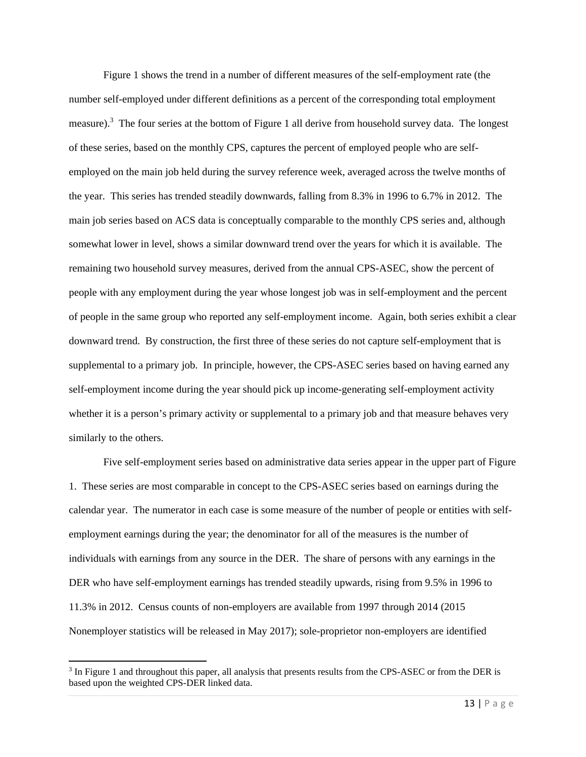Figure 1 shows the trend in a number of different measures of the self-employment rate (the number self-employed under different definitions as a percent of the corresponding total employment measure).<sup>3</sup> The four series at the bottom of Figure 1 all derive from household survey data. The longest of these series, based on the monthly CPS, captures the percent of employed people who are selfemployed on the main job held during the survey reference week, averaged across the twelve months of the year. This series has trended steadily downwards, falling from 8.3% in 1996 to 6.7% in 2012. The main job series based on ACS data is conceptually comparable to the monthly CPS series and, although somewhat lower in level, shows a similar downward trend over the years for which it is available. The remaining two household survey measures, derived from the annual CPS-ASEC, show the percent of people with any employment during the year whose longest job was in self-employment and the percent of people in the same group who reported any self-employment income. Again, both series exhibit a clear downward trend. By construction, the first three of these series do not capture self-employment that is supplemental to a primary job. In principle, however, the CPS-ASEC series based on having earned any self-employment income during the year should pick up income-generating self-employment activity whether it is a person's primary activity or supplemental to a primary job and that measure behaves very similarly to the others.

 Five self-employment series based on administrative data series appear in the upper part of Figure 1. These series are most comparable in concept to the CPS-ASEC series based on earnings during the calendar year. The numerator in each case is some measure of the number of people or entities with selfemployment earnings during the year; the denominator for all of the measures is the number of individuals with earnings from any source in the DER. The share of persons with any earnings in the DER who have self-employment earnings has trended steadily upwards, rising from 9.5% in 1996 to 11.3% in 2012. Census counts of non-employers are available from 1997 through 2014 (2015 Nonemployer statistics will be released in May 2017); sole-proprietor non-employers are identified

<sup>&</sup>lt;sup>3</sup> In Figure 1 and throughout this paper, all analysis that presents results from the CPS-ASEC or from the DER is based upon the weighted CPS-DER linked data.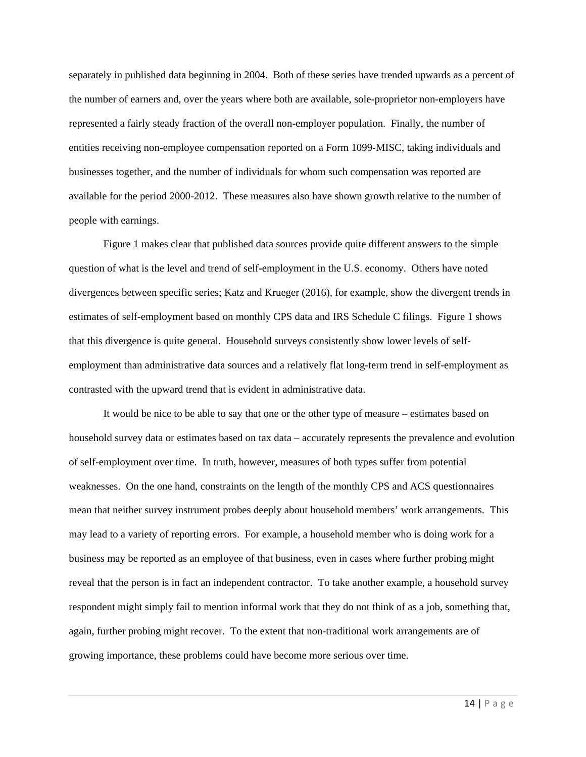separately in published data beginning in 2004. Both of these series have trended upwards as a percent of the number of earners and, over the years where both are available, sole-proprietor non-employers have represented a fairly steady fraction of the overall non-employer population. Finally, the number of entities receiving non-employee compensation reported on a Form 1099-MISC, taking individuals and businesses together, and the number of individuals for whom such compensation was reported are available for the period 2000-2012. These measures also have shown growth relative to the number of people with earnings.

 Figure 1 makes clear that published data sources provide quite different answers to the simple question of what is the level and trend of self-employment in the U.S. economy. Others have noted divergences between specific series; Katz and Krueger (2016), for example, show the divergent trends in estimates of self-employment based on monthly CPS data and IRS Schedule C filings. Figure 1 shows that this divergence is quite general. Household surveys consistently show lower levels of selfemployment than administrative data sources and a relatively flat long-term trend in self-employment as contrasted with the upward trend that is evident in administrative data.

 It would be nice to be able to say that one or the other type of measure – estimates based on household survey data or estimates based on tax data – accurately represents the prevalence and evolution of self-employment over time. In truth, however, measures of both types suffer from potential weaknesses. On the one hand, constraints on the length of the monthly CPS and ACS questionnaires mean that neither survey instrument probes deeply about household members' work arrangements. This may lead to a variety of reporting errors. For example, a household member who is doing work for a business may be reported as an employee of that business, even in cases where further probing might reveal that the person is in fact an independent contractor. To take another example, a household survey respondent might simply fail to mention informal work that they do not think of as a job, something that, again, further probing might recover. To the extent that non-traditional work arrangements are of growing importance, these problems could have become more serious over time.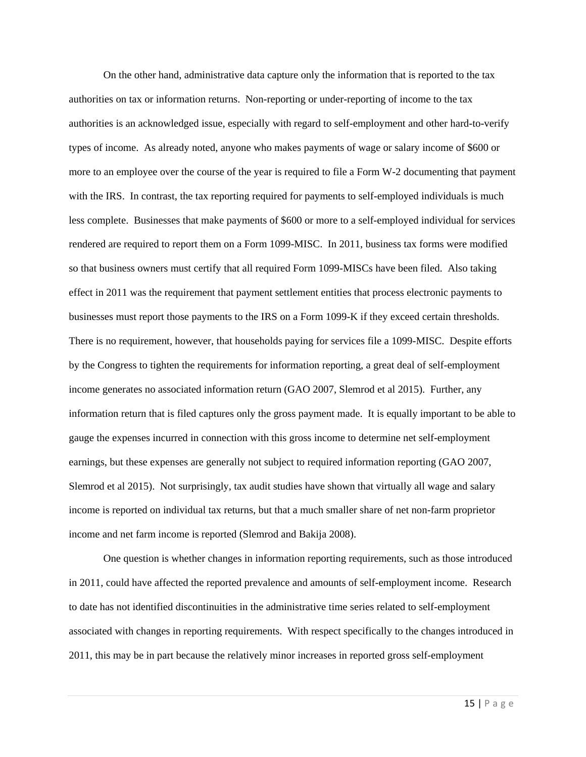On the other hand, administrative data capture only the information that is reported to the tax authorities on tax or information returns. Non-reporting or under-reporting of income to the tax authorities is an acknowledged issue, especially with regard to self-employment and other hard-to-verify types of income. As already noted, anyone who makes payments of wage or salary income of \$600 or more to an employee over the course of the year is required to file a Form W-2 documenting that payment with the IRS. In contrast, the tax reporting required for payments to self-employed individuals is much less complete. Businesses that make payments of \$600 or more to a self-employed individual for services rendered are required to report them on a Form 1099-MISC. In 2011, business tax forms were modified so that business owners must certify that all required Form 1099-MISCs have been filed. Also taking effect in 2011 was the requirement that payment settlement entities that process electronic payments to businesses must report those payments to the IRS on a Form 1099-K if they exceed certain thresholds. There is no requirement, however, that households paying for services file a 1099-MISC. Despite efforts by the Congress to tighten the requirements for information reporting, a great deal of self-employment income generates no associated information return (GAO 2007, Slemrod et al 2015). Further, any information return that is filed captures only the gross payment made. It is equally important to be able to gauge the expenses incurred in connection with this gross income to determine net self-employment earnings, but these expenses are generally not subject to required information reporting (GAO 2007, Slemrod et al 2015). Not surprisingly, tax audit studies have shown that virtually all wage and salary income is reported on individual tax returns, but that a much smaller share of net non-farm proprietor income and net farm income is reported (Slemrod and Bakija 2008).

 One question is whether changes in information reporting requirements, such as those introduced in 2011, could have affected the reported prevalence and amounts of self-employment income. Research to date has not identified discontinuities in the administrative time series related to self-employment associated with changes in reporting requirements. With respect specifically to the changes introduced in 2011, this may be in part because the relatively minor increases in reported gross self-employment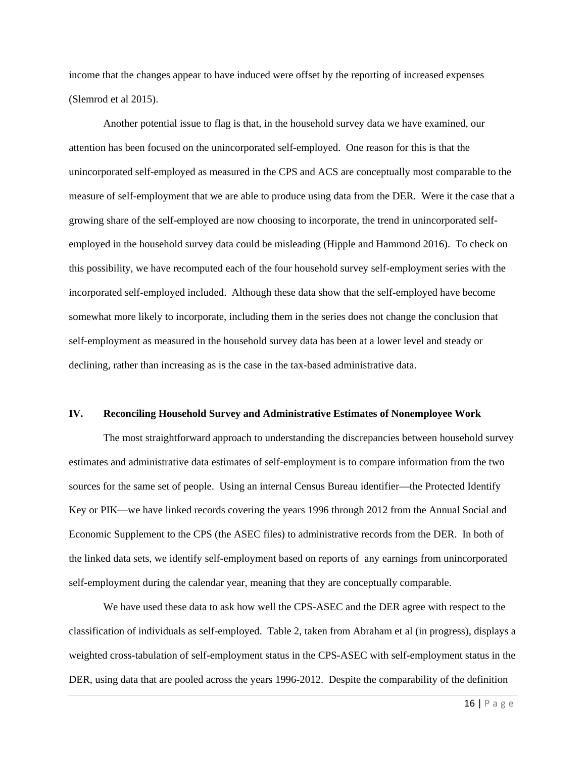income that the changes appear to have induced were offset by the reporting of increased expenses (Slemrod et al 2015).

 Another potential issue to flag is that, in the household survey data we have examined, our attention has been focused on the unincorporated self-employed. One reason for this is that the unincorporated self-employed as measured in the CPS and ACS are conceptually most comparable to the measure of self-employment that we are able to produce using data from the DER. Were it the case that a growing share of the self-employed are now choosing to incorporate, the trend in unincorporated selfemployed in the household survey data could be misleading (Hipple and Hammond 2016). To check on this possibility, we have recomputed each of the four household survey self-employment series with the incorporated self-employed included. Although these data show that the self-employed have become somewhat more likely to incorporate, including them in the series does not change the conclusion that self-employment as measured in the household survey data has been at a lower level and steady or declining, rather than increasing as is the case in the tax-based administrative data.

#### **IV. Reconciling Household Survey and Administrative Estimates of Nonemployee Work**

 The most straightforward approach to understanding the discrepancies between household survey estimates and administrative data estimates of self-employment is to compare information from the two sources for the same set of people. Using an internal Census Bureau identifier—the Protected Identify Key or PIK—we have linked records covering the years 1996 through 2012 from the Annual Social and Economic Supplement to the CPS (the ASEC files) to administrative records from the DER. In both of the linked data sets, we identify self-employment based on reports of any earnings from unincorporated self-employment during the calendar year, meaning that they are conceptually comparable.

 We have used these data to ask how well the CPS-ASEC and the DER agree with respect to the classification of individuals as self-employed. Table 2, taken from Abraham et al (in progress), displays a weighted cross-tabulation of self-employment status in the CPS-ASEC with self-employment status in the DER, using data that are pooled across the years 1996-2012. Despite the comparability of the definition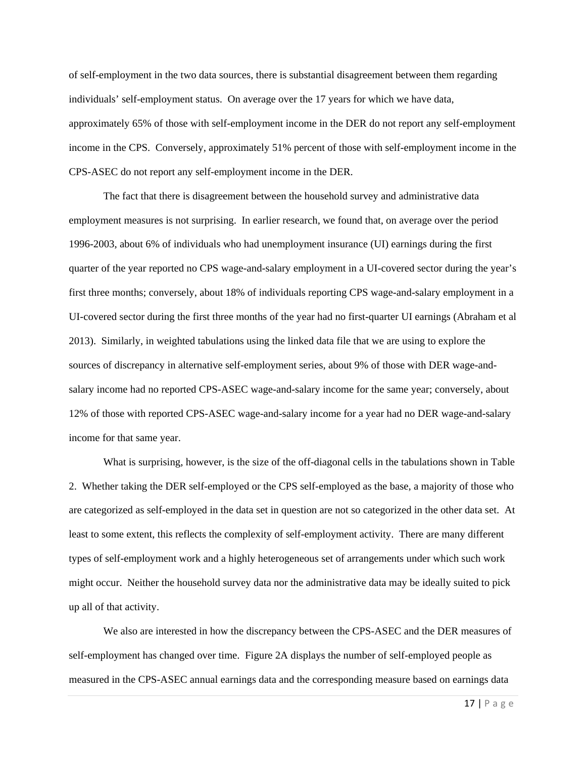of self-employment in the two data sources, there is substantial disagreement between them regarding individuals' self-employment status. On average over the 17 years for which we have data, approximately 65% of those with self-employment income in the DER do not report any self-employment income in the CPS. Conversely, approximately 51% percent of those with self-employment income in the CPS-ASEC do not report any self-employment income in the DER.

 The fact that there is disagreement between the household survey and administrative data employment measures is not surprising. In earlier research, we found that, on average over the period 1996-2003, about 6% of individuals who had unemployment insurance (UI) earnings during the first quarter of the year reported no CPS wage-and-salary employment in a UI-covered sector during the year's first three months; conversely, about 18% of individuals reporting CPS wage-and-salary employment in a UI-covered sector during the first three months of the year had no first-quarter UI earnings (Abraham et al 2013). Similarly, in weighted tabulations using the linked data file that we are using to explore the sources of discrepancy in alternative self-employment series, about 9% of those with DER wage-andsalary income had no reported CPS-ASEC wage-and-salary income for the same year; conversely, about 12% of those with reported CPS-ASEC wage-and-salary income for a year had no DER wage-and-salary income for that same year.

 What is surprising, however, is the size of the off-diagonal cells in the tabulations shown in Table 2. Whether taking the DER self-employed or the CPS self-employed as the base, a majority of those who are categorized as self-employed in the data set in question are not so categorized in the other data set. At least to some extent, this reflects the complexity of self-employment activity. There are many different types of self-employment work and a highly heterogeneous set of arrangements under which such work might occur. Neither the household survey data nor the administrative data may be ideally suited to pick up all of that activity.

 We also are interested in how the discrepancy between the CPS-ASEC and the DER measures of self-employment has changed over time. Figure 2A displays the number of self-employed people as measured in the CPS-ASEC annual earnings data and the corresponding measure based on earnings data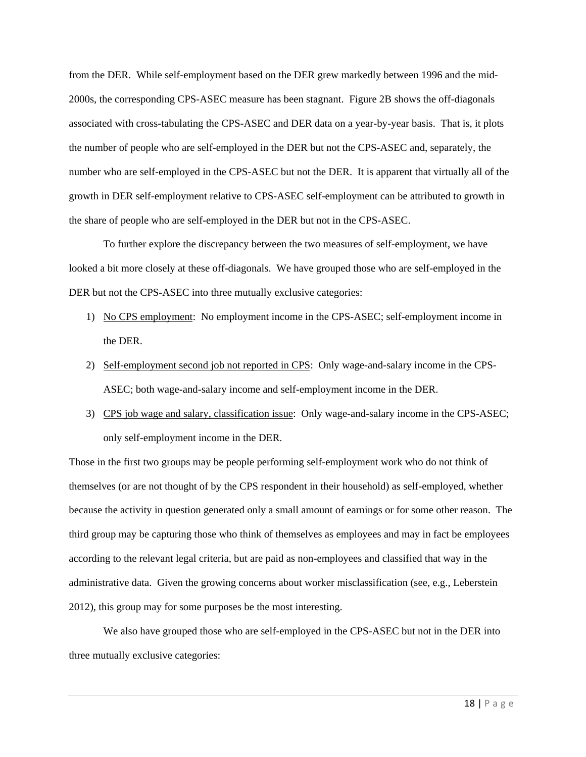from the DER. While self-employment based on the DER grew markedly between 1996 and the mid-2000s, the corresponding CPS-ASEC measure has been stagnant. Figure 2B shows the off-diagonals associated with cross-tabulating the CPS-ASEC and DER data on a year-by-year basis. That is, it plots the number of people who are self-employed in the DER but not the CPS-ASEC and, separately, the number who are self-employed in the CPS-ASEC but not the DER. It is apparent that virtually all of the growth in DER self-employment relative to CPS-ASEC self-employment can be attributed to growth in the share of people who are self-employed in the DER but not in the CPS-ASEC.

 To further explore the discrepancy between the two measures of self-employment, we have looked a bit more closely at these off-diagonals. We have grouped those who are self-employed in the DER but not the CPS-ASEC into three mutually exclusive categories:

- 1) No CPS employment: No employment income in the CPS-ASEC; self-employment income in the DER.
- 2) Self-employment second job not reported in CPS: Only wage-and-salary income in the CPS-ASEC; both wage-and-salary income and self-employment income in the DER.
- 3) CPS job wage and salary, classification issue: Only wage-and-salary income in the CPS-ASEC; only self-employment income in the DER.

Those in the first two groups may be people performing self-employment work who do not think of themselves (or are not thought of by the CPS respondent in their household) as self-employed, whether because the activity in question generated only a small amount of earnings or for some other reason. The third group may be capturing those who think of themselves as employees and may in fact be employees according to the relevant legal criteria, but are paid as non-employees and classified that way in the administrative data. Given the growing concerns about worker misclassification (see, e.g., Leberstein 2012), this group may for some purposes be the most interesting.

 We also have grouped those who are self-employed in the CPS-ASEC but not in the DER into three mutually exclusive categories: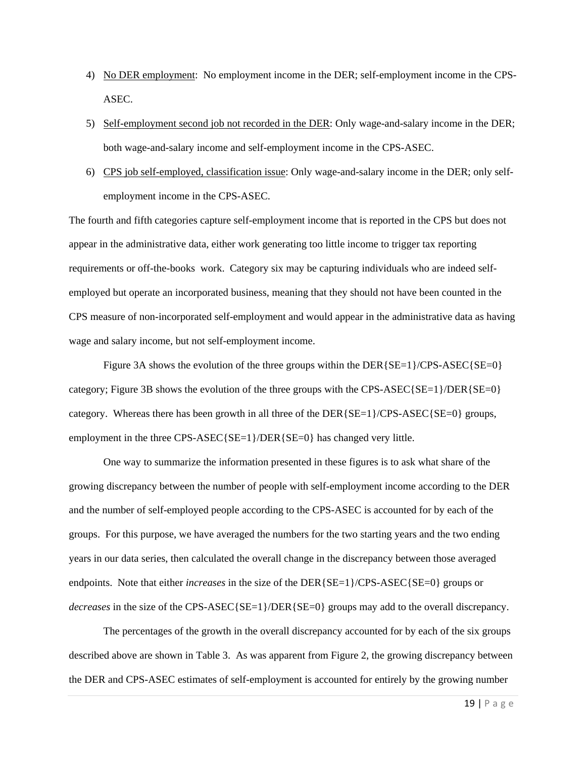- 4) No DER employment: No employment income in the DER; self-employment income in the CPS-ASEC.
- 5) Self-employment second job not recorded in the DER: Only wage-and-salary income in the DER; both wage-and-salary income and self-employment income in the CPS-ASEC.
- 6) CPS job self-employed, classification issue: Only wage-and-salary income in the DER; only selfemployment income in the CPS-ASEC.

The fourth and fifth categories capture self-employment income that is reported in the CPS but does not appear in the administrative data, either work generating too little income to trigger tax reporting requirements or off-the-books work. Category six may be capturing individuals who are indeed selfemployed but operate an incorporated business, meaning that they should not have been counted in the CPS measure of non-incorporated self-employment and would appear in the administrative data as having wage and salary income, but not self-employment income.

Figure 3A shows the evolution of the three groups within the DER{SE=1}/CPS-ASEC{SE=0} category; Figure 3B shows the evolution of the three groups with the CPS-ASEC{SE=1}/DER{SE=0} category. Whereas there has been growth in all three of the DER{SE=1}/CPS-ASEC{SE=0} groups, employment in the three CPS-ASEC{SE=1}/DER{SE=0} has changed very little.

 One way to summarize the information presented in these figures is to ask what share of the growing discrepancy between the number of people with self-employment income according to the DER and the number of self-employed people according to the CPS-ASEC is accounted for by each of the groups. For this purpose, we have averaged the numbers for the two starting years and the two ending years in our data series, then calculated the overall change in the discrepancy between those averaged endpoints. Note that either *increases* in the size of the DER{SE=1}/CPS-ASEC{SE=0} groups or *decreases* in the size of the CPS-ASEC{SE=1}/DER{SE=0} groups may add to the overall discrepancy.

 The percentages of the growth in the overall discrepancy accounted for by each of the six groups described above are shown in Table 3. As was apparent from Figure 2, the growing discrepancy between the DER and CPS-ASEC estimates of self-employment is accounted for entirely by the growing number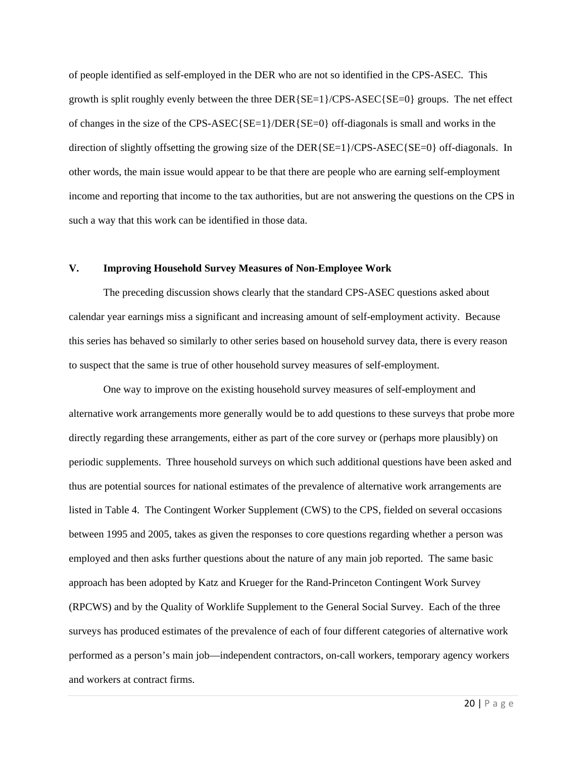of people identified as self-employed in the DER who are not so identified in the CPS-ASEC. This growth is split roughly evenly between the three DER{SE=1}/CPS-ASEC{SE=0} groups. The net effect of changes in the size of the CPS-ASEC{SE=1}/DER{SE=0} of f-diagonals is small and works in the direction of slightly offsetting the growing size of the DER{ $SE=1$ }/CPS-ASEC{SE=0} off-diagonals. In other words, the main issue would appear to be that there are people who are earning self-employment income and reporting that income to the tax authorities, but are not answering the questions on the CPS in such a way that this work can be identified in those data.

## **V. Improving Household Survey Measures of Non-Employee Work**

 The preceding discussion shows clearly that the standard CPS-ASEC questions asked about calendar year earnings miss a significant and increasing amount of self-employment activity. Because this series has behaved so similarly to other series based on household survey data, there is every reason to suspect that the same is true of other household survey measures of self-employment.

 One way to improve on the existing household survey measures of self-employment and alternative work arrangements more generally would be to add questions to these surveys that probe more directly regarding these arrangements, either as part of the core survey or (perhaps more plausibly) on periodic supplements. Three household surveys on which such additional questions have been asked and thus are potential sources for national estimates of the prevalence of alternative work arrangements are listed in Table 4. The Contingent Worker Supplement (CWS) to the CPS, fielded on several occasions between 1995 and 2005, takes as given the responses to core questions regarding whether a person was employed and then asks further questions about the nature of any main job reported. The same basic approach has been adopted by Katz and Krueger for the Rand-Princeton Contingent Work Survey (RPCWS) and by the Quality of Worklife Supplement to the General Social Survey. Each of the three surveys has produced estimates of the prevalence of each of four different categories of alternative work performed as a person's main job—independent contractors, on-call workers, temporary agency workers and workers at contract firms.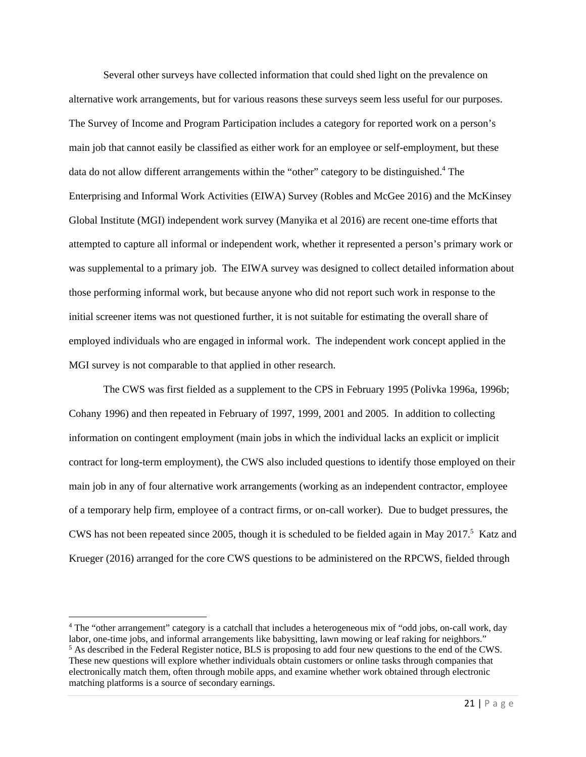Several other surveys have collected information that could shed light on the prevalence on alternative work arrangements, but for various reasons these surveys seem less useful for our purposes. The Survey of Income and Program Participation includes a category for reported work on a person's main job that cannot easily be classified as either work for an employee or self-employment, but these data do not allow different arrangements within the "other" category to be distinguished.<sup>4</sup> The Enterprising and Informal Work Activities (EIWA) Survey (Robles and McGee 2016) and the McKinsey Global Institute (MGI) independent work survey (Manyika et al 2016) are recent one-time efforts that attempted to capture all informal or independent work, whether it represented a person's primary work or was supplemental to a primary job. The EIWA survey was designed to collect detailed information about those performing informal work, but because anyone who did not report such work in response to the initial screener items was not questioned further, it is not suitable for estimating the overall share of employed individuals who are engaged in informal work. The independent work concept applied in the MGI survey is not comparable to that applied in other research.

 The CWS was first fielded as a supplement to the CPS in February 1995 (Polivka 1996a, 1996b; Cohany 1996) and then repeated in February of 1997, 1999, 2001 and 2005. In addition to collecting information on contingent employment (main jobs in which the individual lacks an explicit or implicit contract for long-term employment), the CWS also included questions to identify those employed on their main job in any of four alternative work arrangements (working as an independent contractor, employee of a temporary help firm, employee of a contract firms, or on-call worker). Due to budget pressures, the CWS has not been repeated since 2005, though it is scheduled to be fielded again in May  $2017$ <sup>5</sup> Katz and Krueger (2016) arranged for the core CWS questions to be administered on the RPCWS, fielded through

<sup>4</sup> The "other arrangement" category is a catchall that includes a heterogeneous mix of "odd jobs, on-call work, day labor, one-time jobs, and informal arrangements like babysitting, lawn mowing or leaf raking for neighbors." <sup>5</sup> As described in the Federal Register notice, BLS is proposing to add four new questions to the end of the CWS. These new questions will explore whether individuals obtain customers or online tasks through companies that

electronically match them, often through mobile apps, and examine whether work obtained through electronic matching platforms is a source of secondary earnings.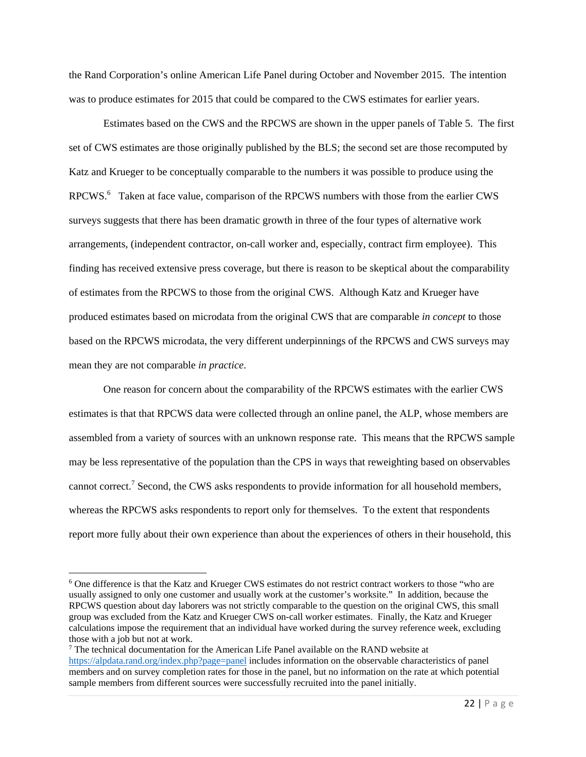the Rand Corporation's online American Life Panel during October and November 2015. The intention was to produce estimates for 2015 that could be compared to the CWS estimates for earlier years.

 Estimates based on the CWS and the RPCWS are shown in the upper panels of Table 5. The first set of CWS estimates are those originally published by the BLS; the second set are those recomputed by Katz and Krueger to be conceptually comparable to the numbers it was possible to produce using the RPCWS.<sup>6</sup> Taken at face value, comparison of the RPCWS numbers with those from the earlier CWS surveys suggests that there has been dramatic growth in three of the four types of alternative work arrangements, (independent contractor, on-call worker and, especially, contract firm employee). This finding has received extensive press coverage, but there is reason to be skeptical about the comparability of estimates from the RPCWS to those from the original CWS. Although Katz and Krueger have produced estimates based on microdata from the original CWS that are comparable *in concept* to those based on the RPCWS microdata, the very different underpinnings of the RPCWS and CWS surveys may mean they are not comparable *in practice*.

 One reason for concern about the comparability of the RPCWS estimates with the earlier CWS estimates is that that RPCWS data were collected through an online panel, the ALP, whose members are assembled from a variety of sources with an unknown response rate. This means that the RPCWS sample may be less representative of the population than the CPS in ways that reweighting based on observables cannot correct.<sup>7</sup> Second, the CWS asks respondents to provide information for all household members, whereas the RPCWS asks respondents to report only for themselves. To the extent that respondents report more fully about their own experience than about the experiences of others in their household, this

<sup>&</sup>lt;sup>6</sup> One difference is that the Katz and Krueger CWS estimates do not restrict contract workers to those "who are usually assigned to only one customer and usually work at the customer's worksite." In addition, because the RPCWS question about day laborers was not strictly comparable to the question on the original CWS, this small group was excluded from the Katz and Krueger CWS on-call worker estimates. Finally, the Katz and Krueger calculations impose the requirement that an individual have worked during the survey reference week, excluding those with a job but not at work.

<sup>&</sup>lt;sup>7</sup> The technical documentation for the American Life Panel available on the RAND website at https://alpdata.rand.org/index.php?page=panel includes information on the observable characteristics of panel members and on survey completion rates for those in the panel, but no information on the rate at which potential sample members from different sources were successfully recruited into the panel initially.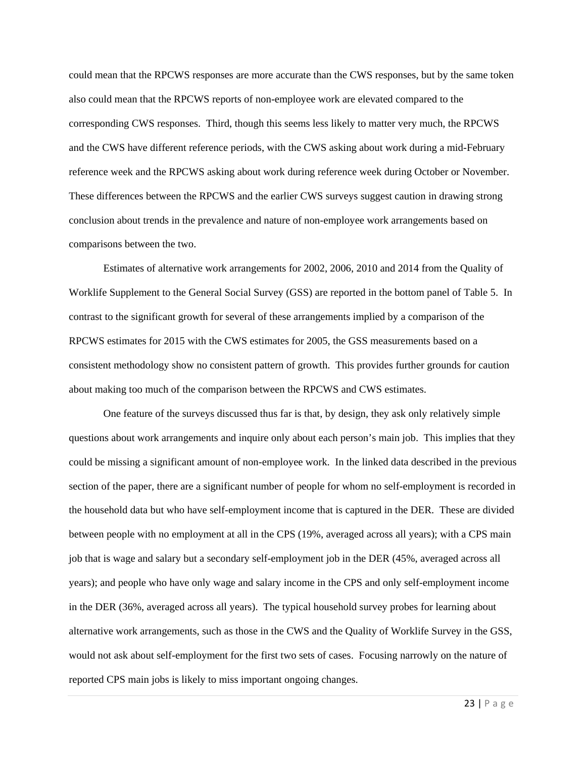could mean that the RPCWS responses are more accurate than the CWS responses, but by the same token also could mean that the RPCWS reports of non-employee work are elevated compared to the corresponding CWS responses. Third, though this seems less likely to matter very much, the RPCWS and the CWS have different reference periods, with the CWS asking about work during a mid-February reference week and the RPCWS asking about work during reference week during October or November. These differences between the RPCWS and the earlier CWS surveys suggest caution in drawing strong conclusion about trends in the prevalence and nature of non-employee work arrangements based on comparisons between the two.

 Estimates of alternative work arrangements for 2002, 2006, 2010 and 2014 from the Quality of Worklife Supplement to the General Social Survey (GSS) are reported in the bottom panel of Table 5. In contrast to the significant growth for several of these arrangements implied by a comparison of the RPCWS estimates for 2015 with the CWS estimates for 2005, the GSS measurements based on a consistent methodology show no consistent pattern of growth. This provides further grounds for caution about making too much of the comparison between the RPCWS and CWS estimates.

 One feature of the surveys discussed thus far is that, by design, they ask only relatively simple questions about work arrangements and inquire only about each person's main job. This implies that they could be missing a significant amount of non-employee work. In the linked data described in the previous section of the paper, there are a significant number of people for whom no self-employment is recorded in the household data but who have self-employment income that is captured in the DER. These are divided between people with no employment at all in the CPS (19%, averaged across all years); with a CPS main job that is wage and salary but a secondary self-employment job in the DER (45%, averaged across all years); and people who have only wage and salary income in the CPS and only self-employment income in the DER (36%, averaged across all years). The typical household survey probes for learning about alternative work arrangements, such as those in the CWS and the Quality of Worklife Survey in the GSS, would not ask about self-employment for the first two sets of cases. Focusing narrowly on the nature of reported CPS main jobs is likely to miss important ongoing changes.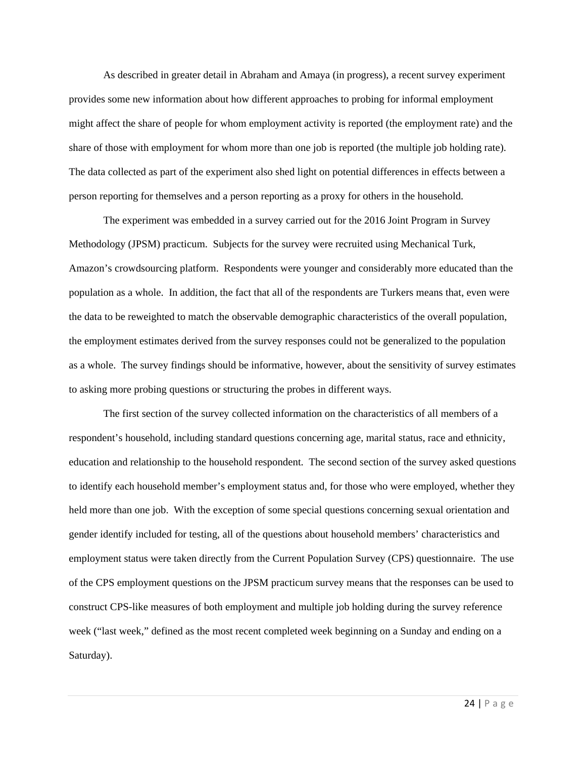As described in greater detail in Abraham and Amaya (in progress), a recent survey experiment provides some new information about how different approaches to probing for informal employment might affect the share of people for whom employment activity is reported (the employment rate) and the share of those with employment for whom more than one job is reported (the multiple job holding rate). The data collected as part of the experiment also shed light on potential differences in effects between a person reporting for themselves and a person reporting as a proxy for others in the household.

 The experiment was embedded in a survey carried out for the 2016 Joint Program in Survey Methodology (JPSM) practicum. Subjects for the survey were recruited using Mechanical Turk, Amazon's crowdsourcing platform. Respondents were younger and considerably more educated than the population as a whole. In addition, the fact that all of the respondents are Turkers means that, even were the data to be reweighted to match the observable demographic characteristics of the overall population, the employment estimates derived from the survey responses could not be generalized to the population as a whole. The survey findings should be informative, however, about the sensitivity of survey estimates to asking more probing questions or structuring the probes in different ways.

 The first section of the survey collected information on the characteristics of all members of a respondent's household, including standard questions concerning age, marital status, race and ethnicity, education and relationship to the household respondent. The second section of the survey asked questions to identify each household member's employment status and, for those who were employed, whether they held more than one job. With the exception of some special questions concerning sexual orientation and gender identify included for testing, all of the questions about household members' characteristics and employment status were taken directly from the Current Population Survey (CPS) questionnaire. The use of the CPS employment questions on the JPSM practicum survey means that the responses can be used to construct CPS-like measures of both employment and multiple job holding during the survey reference week ("last week," defined as the most recent completed week beginning on a Sunday and ending on a Saturday).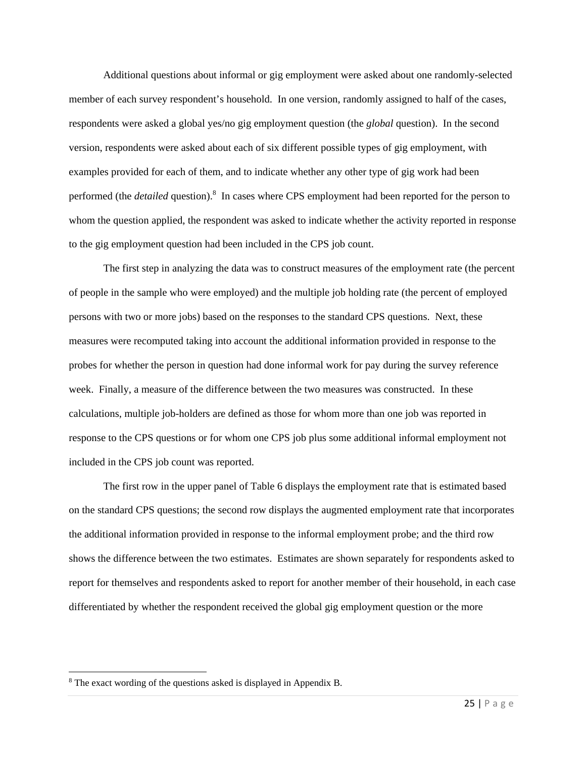Additional questions about informal or gig employment were asked about one randomly-selected member of each survey respondent's household. In one version, randomly assigned to half of the cases, respondents were asked a global yes/no gig employment question (the *global* question). In the second version, respondents were asked about each of six different possible types of gig employment, with examples provided for each of them, and to indicate whether any other type of gig work had been performed (the *detailed* question).<sup>8</sup> In cases where CPS employment had been reported for the person to whom the question applied, the respondent was asked to indicate whether the activity reported in response to the gig employment question had been included in the CPS job count.

 The first step in analyzing the data was to construct measures of the employment rate (the percent of people in the sample who were employed) and the multiple job holding rate (the percent of employed persons with two or more jobs) based on the responses to the standard CPS questions. Next, these measures were recomputed taking into account the additional information provided in response to the probes for whether the person in question had done informal work for pay during the survey reference week. Finally, a measure of the difference between the two measures was constructed. In these calculations, multiple job-holders are defined as those for whom more than one job was reported in response to the CPS questions or for whom one CPS job plus some additional informal employment not included in the CPS job count was reported.

 The first row in the upper panel of Table 6 displays the employment rate that is estimated based on the standard CPS questions; the second row displays the augmented employment rate that incorporates the additional information provided in response to the informal employment probe; and the third row shows the difference between the two estimates. Estimates are shown separately for respondents asked to report for themselves and respondents asked to report for another member of their household, in each case differentiated by whether the respondent received the global gig employment question or the more

<sup>&</sup>lt;sup>8</sup> The exact wording of the questions asked is displayed in Appendix B.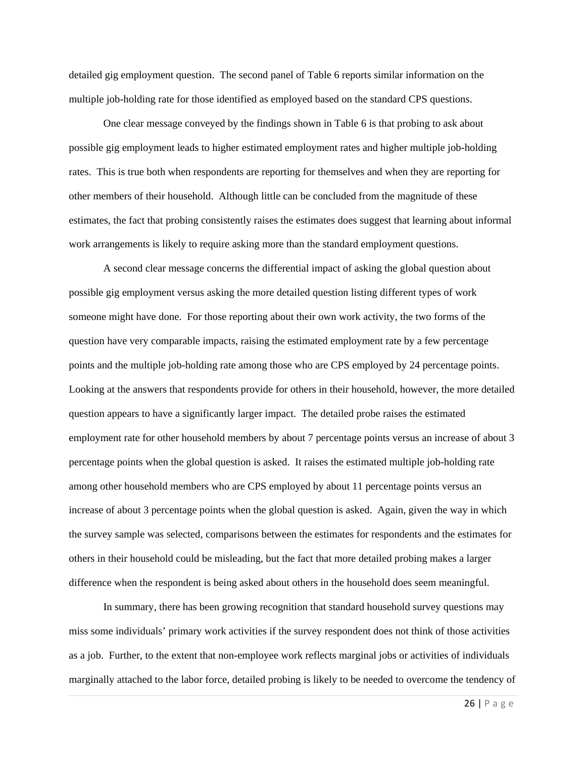detailed gig employment question. The second panel of Table 6 reports similar information on the multiple job-holding rate for those identified as employed based on the standard CPS questions.

 One clear message conveyed by the findings shown in Table 6 is that probing to ask about possible gig employment leads to higher estimated employment rates and higher multiple job-holding rates. This is true both when respondents are reporting for themselves and when they are reporting for other members of their household. Although little can be concluded from the magnitude of these estimates, the fact that probing consistently raises the estimates does suggest that learning about informal work arrangements is likely to require asking more than the standard employment questions.

 A second clear message concerns the differential impact of asking the global question about possible gig employment versus asking the more detailed question listing different types of work someone might have done. For those reporting about their own work activity, the two forms of the question have very comparable impacts, raising the estimated employment rate by a few percentage points and the multiple job-holding rate among those who are CPS employed by 24 percentage points. Looking at the answers that respondents provide for others in their household, however, the more detailed question appears to have a significantly larger impact. The detailed probe raises the estimated employment rate for other household members by about 7 percentage points versus an increase of about 3 percentage points when the global question is asked. It raises the estimated multiple job-holding rate among other household members who are CPS employed by about 11 percentage points versus an increase of about 3 percentage points when the global question is asked. Again, given the way in which the survey sample was selected, comparisons between the estimates for respondents and the estimates for others in their household could be misleading, but the fact that more detailed probing makes a larger difference when the respondent is being asked about others in the household does seem meaningful.

 In summary, there has been growing recognition that standard household survey questions may miss some individuals' primary work activities if the survey respondent does not think of those activities as a job. Further, to the extent that non-employee work reflects marginal jobs or activities of individuals marginally attached to the labor force, detailed probing is likely to be needed to overcome the tendency of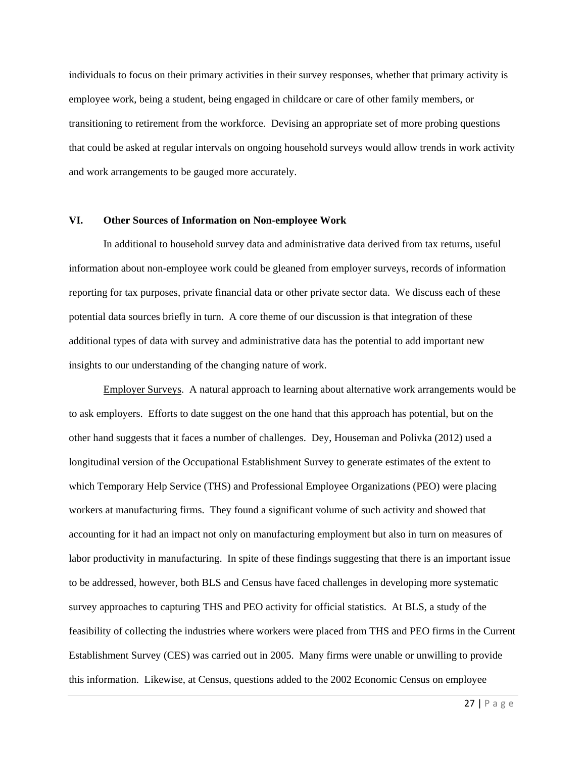individuals to focus on their primary activities in their survey responses, whether that primary activity is employee work, being a student, being engaged in childcare or care of other family members, or transitioning to retirement from the workforce. Devising an appropriate set of more probing questions that could be asked at regular intervals on ongoing household surveys would allow trends in work activity and work arrangements to be gauged more accurately.

### **VI. Other Sources of Information on Non-employee Work**

In additional to household survey data and administrative data derived from tax returns, useful information about non-employee work could be gleaned from employer surveys, records of information reporting for tax purposes, private financial data or other private sector data. We discuss each of these potential data sources briefly in turn. A core theme of our discussion is that integration of these additional types of data with survey and administrative data has the potential to add important new insights to our understanding of the changing nature of work.

 Employer Surveys. A natural approach to learning about alternative work arrangements would be to ask employers. Efforts to date suggest on the one hand that this approach has potential, but on the other hand suggests that it faces a number of challenges. Dey, Houseman and Polivka (2012) used a longitudinal version of the Occupational Establishment Survey to generate estimates of the extent to which Temporary Help Service (THS) and Professional Employee Organizations (PEO) were placing workers at manufacturing firms. They found a significant volume of such activity and showed that accounting for it had an impact not only on manufacturing employment but also in turn on measures of labor productivity in manufacturing. In spite of these findings suggesting that there is an important issue to be addressed, however, both BLS and Census have faced challenges in developing more systematic survey approaches to capturing THS and PEO activity for official statistics. At BLS, a study of the feasibility of collecting the industries where workers were placed from THS and PEO firms in the Current Establishment Survey (CES) was carried out in 2005. Many firms were unable or unwilling to provide this information. Likewise, at Census, questions added to the 2002 Economic Census on employee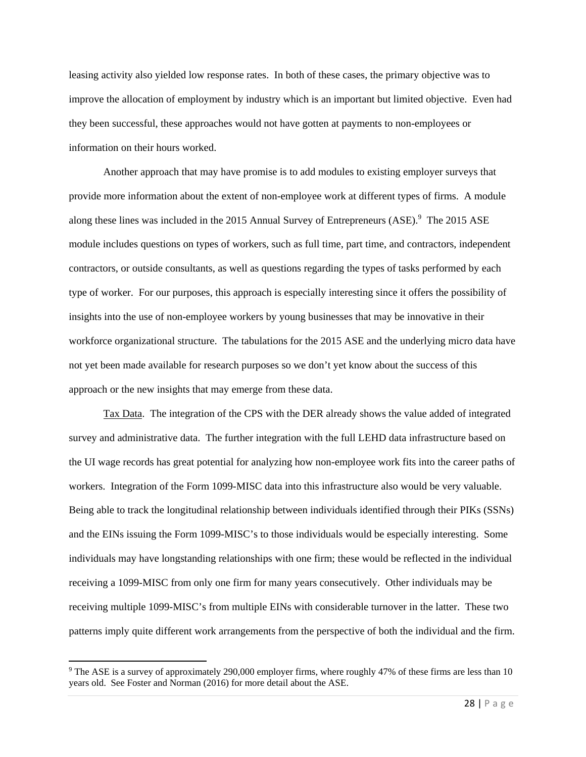leasing activity also yielded low response rates. In both of these cases, the primary objective was to improve the allocation of employment by industry which is an important but limited objective. Even had they been successful, these approaches would not have gotten at payments to non-employees or information on their hours worked.

 Another approach that may have promise is to add modules to existing employer surveys that provide more information about the extent of non-employee work at different types of firms. A module along these lines was included in the 2015 Annual Survey of Entrepreneurs (ASE).<sup>9</sup> The 2015 ASE module includes questions on types of workers, such as full time, part time, and contractors, independent contractors, or outside consultants, as well as questions regarding the types of tasks performed by each type of worker. For our purposes, this approach is especially interesting since it offers the possibility of insights into the use of non-employee workers by young businesses that may be innovative in their workforce organizational structure. The tabulations for the 2015 ASE and the underlying micro data have not yet been made available for research purposes so we don't yet know about the success of this approach or the new insights that may emerge from these data.

 Tax Data. The integration of the CPS with the DER already shows the value added of integrated survey and administrative data. The further integration with the full LEHD data infrastructure based on the UI wage records has great potential for analyzing how non-employee work fits into the career paths of workers. Integration of the Form 1099-MISC data into this infrastructure also would be very valuable. Being able to track the longitudinal relationship between individuals identified through their PIKs (SSNs) and the EINs issuing the Form 1099-MISC's to those individuals would be especially interesting. Some individuals may have longstanding relationships with one firm; these would be reflected in the individual receiving a 1099-MISC from only one firm for many years consecutively. Other individuals may be receiving multiple 1099-MISC's from multiple EINs with considerable turnover in the latter. These two patterns imply quite different work arrangements from the perspective of both the individual and the firm.

<sup>9</sup> The ASE is a survey of approximately 290,000 employer firms, where roughly 47% of these firms are less than 10 years old. See Foster and Norman (2016) for more detail about the ASE.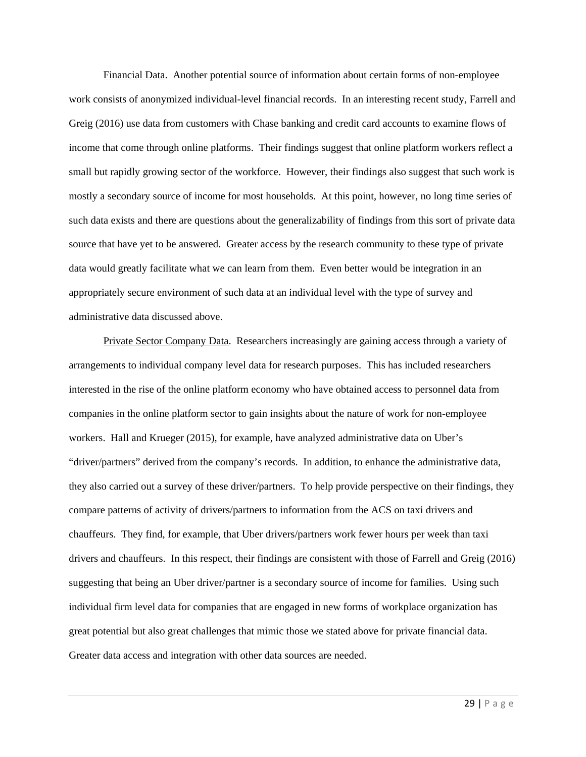Financial Data. Another potential source of information about certain forms of non-employee work consists of anonymized individual-level financial records. In an interesting recent study, Farrell and Greig (2016) use data from customers with Chase banking and credit card accounts to examine flows of income that come through online platforms. Their findings suggest that online platform workers reflect a small but rapidly growing sector of the workforce. However, their findings also suggest that such work is mostly a secondary source of income for most households. At this point, however, no long time series of such data exists and there are questions about the generalizability of findings from this sort of private data source that have yet to be answered. Greater access by the research community to these type of private data would greatly facilitate what we can learn from them. Even better would be integration in an appropriately secure environment of such data at an individual level with the type of survey and administrative data discussed above.

 Private Sector Company Data. Researchers increasingly are gaining access through a variety of arrangements to individual company level data for research purposes. This has included researchers interested in the rise of the online platform economy who have obtained access to personnel data from companies in the online platform sector to gain insights about the nature of work for non-employee workers. Hall and Krueger (2015), for example, have analyzed administrative data on Uber's "driver/partners" derived from the company's records. In addition, to enhance the administrative data, they also carried out a survey of these driver/partners. To help provide perspective on their findings, they compare patterns of activity of drivers/partners to information from the ACS on taxi drivers and chauffeurs. They find, for example, that Uber drivers/partners work fewer hours per week than taxi drivers and chauffeurs. In this respect, their findings are consistent with those of Farrell and Greig (2016) suggesting that being an Uber driver/partner is a secondary source of income for families. Using such individual firm level data for companies that are engaged in new forms of workplace organization has great potential but also great challenges that mimic those we stated above for private financial data. Greater data access and integration with other data sources are needed.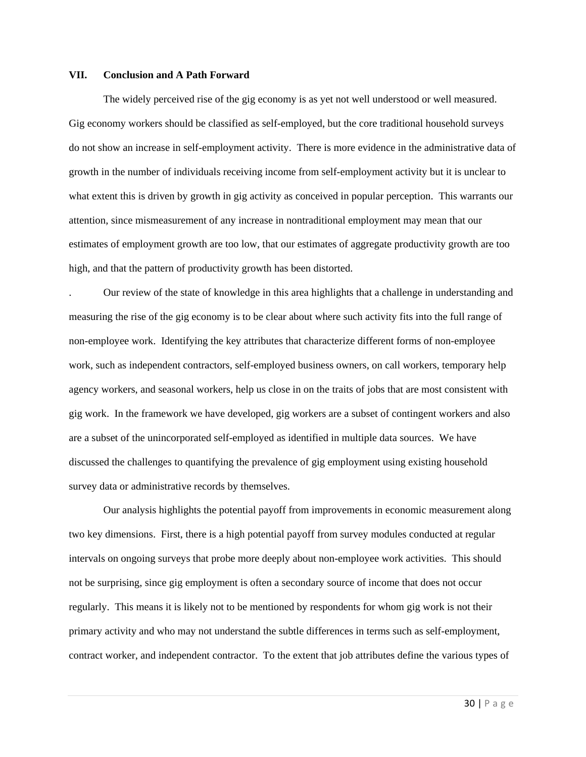#### **VII. Conclusion and A Path Forward**

 The widely perceived rise of the gig economy is as yet not well understood or well measured. Gig economy workers should be classified as self-employed, but the core traditional household surveys do not show an increase in self-employment activity. There is more evidence in the administrative data of growth in the number of individuals receiving income from self-employment activity but it is unclear to what extent this is driven by growth in gig activity as conceived in popular perception. This warrants our attention, since mismeasurement of any increase in nontraditional employment may mean that our estimates of employment growth are too low, that our estimates of aggregate productivity growth are too high, and that the pattern of productivity growth has been distorted.

. Our review of the state of knowledge in this area highlights that a challenge in understanding and measuring the rise of the gig economy is to be clear about where such activity fits into the full range of non-employee work. Identifying the key attributes that characterize different forms of non-employee work, such as independent contractors, self-employed business owners, on call workers, temporary help agency workers, and seasonal workers, help us close in on the traits of jobs that are most consistent with gig work. In the framework we have developed, gig workers are a subset of contingent workers and also are a subset of the unincorporated self-employed as identified in multiple data sources. We have discussed the challenges to quantifying the prevalence of gig employment using existing household survey data or administrative records by themselves.

 Our analysis highlights the potential payoff from improvements in economic measurement along two key dimensions. First, there is a high potential payoff from survey modules conducted at regular intervals on ongoing surveys that probe more deeply about non-employee work activities. This should not be surprising, since gig employment is often a secondary source of income that does not occur regularly. This means it is likely not to be mentioned by respondents for whom gig work is not their primary activity and who may not understand the subtle differences in terms such as self-employment, contract worker, and independent contractor. To the extent that job attributes define the various types of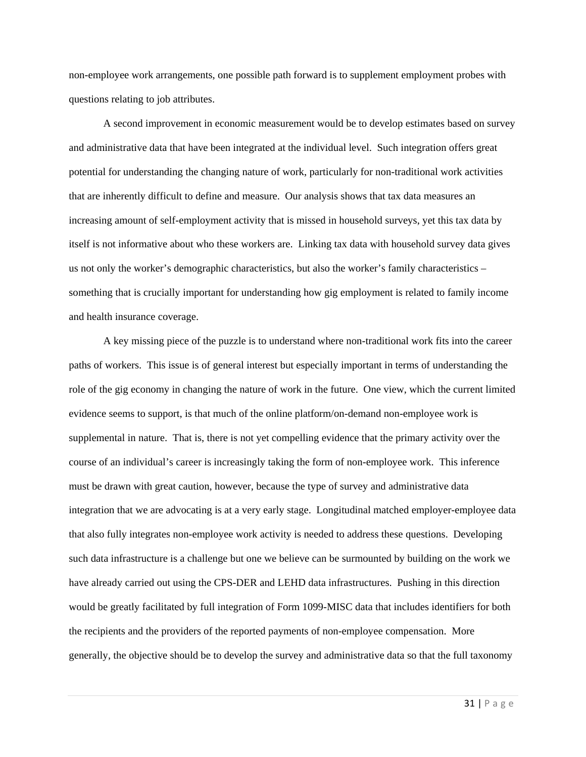non-employee work arrangements, one possible path forward is to supplement employment probes with questions relating to job attributes.

 A second improvement in economic measurement would be to develop estimates based on survey and administrative data that have been integrated at the individual level. Such integration offers great potential for understanding the changing nature of work, particularly for non-traditional work activities that are inherently difficult to define and measure. Our analysis shows that tax data measures an increasing amount of self-employment activity that is missed in household surveys, yet this tax data by itself is not informative about who these workers are. Linking tax data with household survey data gives us not only the worker's demographic characteristics, but also the worker's family characteristics – something that is crucially important for understanding how gig employment is related to family income and health insurance coverage.

 A key missing piece of the puzzle is to understand where non-traditional work fits into the career paths of workers. This issue is of general interest but especially important in terms of understanding the role of the gig economy in changing the nature of work in the future. One view, which the current limited evidence seems to support, is that much of the online platform/on-demand non-employee work is supplemental in nature. That is, there is not yet compelling evidence that the primary activity over the course of an individual's career is increasingly taking the form of non-employee work. This inference must be drawn with great caution, however, because the type of survey and administrative data integration that we are advocating is at a very early stage. Longitudinal matched employer-employee data that also fully integrates non-employee work activity is needed to address these questions. Developing such data infrastructure is a challenge but one we believe can be surmounted by building on the work we have already carried out using the CPS-DER and LEHD data infrastructures. Pushing in this direction would be greatly facilitated by full integration of Form 1099-MISC data that includes identifiers for both the recipients and the providers of the reported payments of non-employee compensation. More generally, the objective should be to develop the survey and administrative data so that the full taxonomy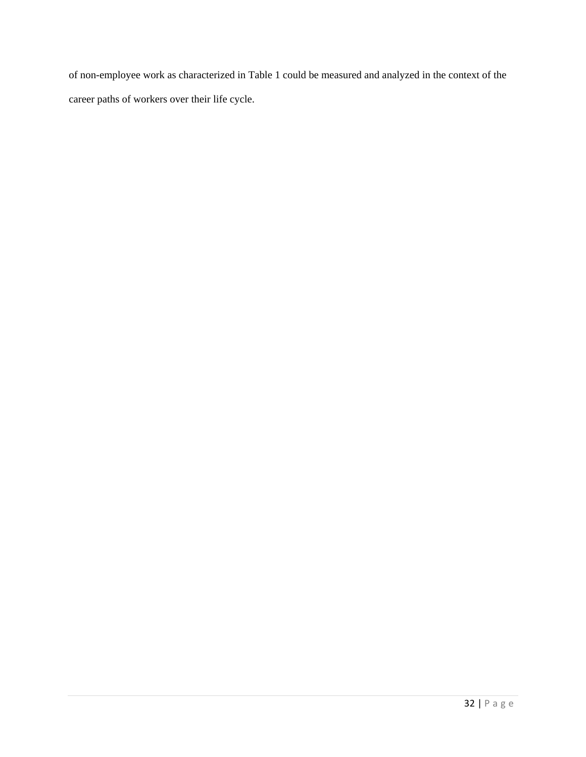of non-employee work as characterized in Table 1 could be measured and analyzed in the context of the career paths of workers over their life cycle.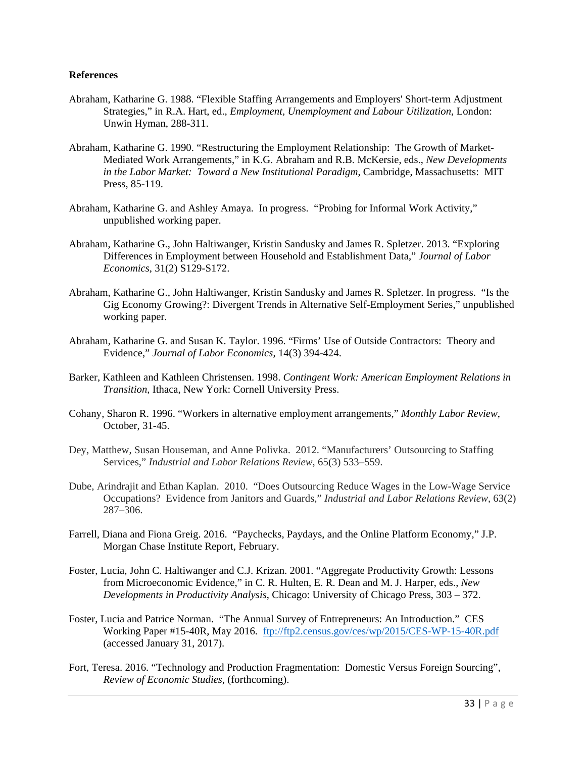### **References**

- Abraham, Katharine G. 1988. "Flexible Staffing Arrangements and Employers' Short-term Adjustment Strategies," in R.A. Hart, ed., *Employment, Unemployment and Labour Utilization*, London: Unwin Hyman, 288-311.
- Abraham, Katharine G. 1990. "Restructuring the Employment Relationship: The Growth of Market-Mediated Work Arrangements," in K.G. Abraham and R.B. McKersie, eds., *New Developments in the Labor Market: Toward a New Institutional Paradigm*, Cambridge, Massachusetts: MIT Press, 85-119.
- Abraham, Katharine G. and Ashley Amaya. In progress. "Probing for Informal Work Activity," unpublished working paper.
- Abraham, Katharine G., John Haltiwanger, Kristin Sandusky and James R. Spletzer. 2013. "Exploring Differences in Employment between Household and Establishment Data," *Journal of Labor Economics*, 31(2) S129-S172.
- Abraham, Katharine G., John Haltiwanger, Kristin Sandusky and James R. Spletzer. In progress. "Is the Gig Economy Growing?: Divergent Trends in Alternative Self-Employment Series," unpublished working paper.
- Abraham, Katharine G. and Susan K. Taylor. 1996. "Firms' Use of Outside Contractors: Theory and Evidence," *Journal of Labor Economics*, 14(3) 394-424.
- Barker, Kathleen and Kathleen Christensen. 1998. *Contingent Work: American Employment Relations in Transition*, Ithaca, New York: Cornell University Press.
- Cohany, Sharon R. 1996. "Workers in alternative employment arrangements," *Monthly Labor Review*, October, 31-45.
- Dey, Matthew, Susan Houseman, and Anne Polivka. 2012. "Manufacturers' Outsourcing to Staffing Services," *Industrial and Labor Relations Review*, 65(3) 533–559.
- Dube, Arindrajit and Ethan Kaplan. 2010. "Does Outsourcing Reduce Wages in the Low-Wage Service Occupations? Evidence from Janitors and Guards," *Industrial and Labor Relations Review*, 63(2) 287–306.
- Farrell, Diana and Fiona Greig. 2016. "Paychecks, Paydays, and the Online Platform Economy," J.P. Morgan Chase Institute Report, February.
- Foster, Lucia, John C. Haltiwanger and C.J. Krizan. 2001. "Aggregate Productivity Growth: Lessons from Microeconomic Evidence," in C. R. Hulten, E. R. Dean and M. J. Harper, eds., *New Developments in Productivity Analysis*, Chicago: University of Chicago Press, 303 – 372.
- Foster, Lucia and Patrice Norman. "The Annual Survey of Entrepreneurs: An Introduction." CES Working Paper #15-40R, May 2016. ftp://ftp2.census.gov/ces/wp/2015/CES-WP-15-40R.pdf (accessed January 31, 2017).
- Fort, Teresa. 2016. "Technology and Production Fragmentation: Domestic Versus Foreign Sourcing", *Review of Economic Studies*, (forthcoming).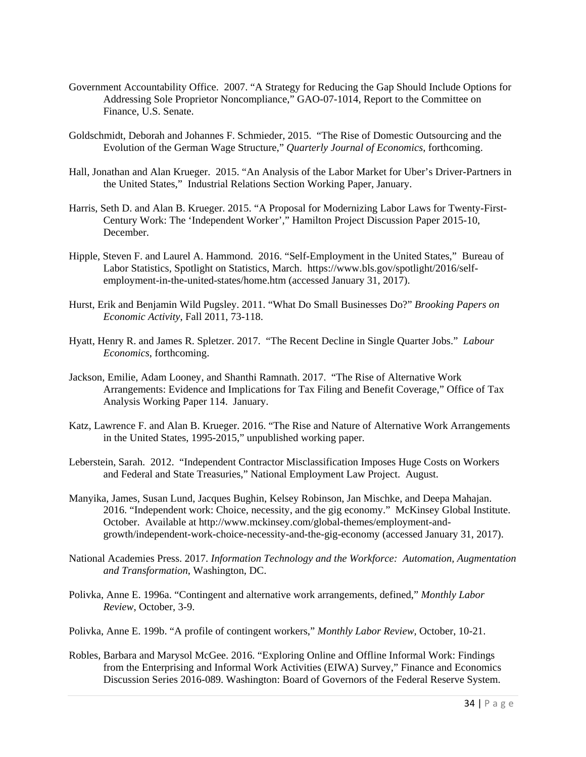- Government Accountability Office. 2007. "A Strategy for Reducing the Gap Should Include Options for Addressing Sole Proprietor Noncompliance," GAO-07-1014, Report to the Committee on Finance, U.S. Senate.
- Goldschmidt, Deborah and Johannes F. Schmieder, 2015. "The Rise of Domestic Outsourcing and the Evolution of the German Wage Structure," *Quarterly Journal of Economics*, forthcoming.
- Hall, Jonathan and Alan Krueger. 2015. "An Analysis of the Labor Market for Uber's Driver-Partners in the United States," Industrial Relations Section Working Paper, January.
- Harris, Seth D. and Alan B. Krueger. 2015. "A Proposal for Modernizing Labor Laws for Twenty-First-Century Work: The 'Independent Worker'," Hamilton Project Discussion Paper 2015-10, December.
- Hipple, Steven F. and Laurel A. Hammond. 2016. "Self-Employment in the United States," Bureau of Labor Statistics, Spotlight on Statistics, March. https://www.bls.gov/spotlight/2016/selfemployment-in-the-united-states/home.htm (accessed January 31, 2017).
- Hurst, Erik and Benjamin Wild Pugsley. 2011. "What Do Small Businesses Do?" *Brooking Papers on Economic Activity*, Fall 2011, 73-118.
- Hyatt, Henry R. and James R. Spletzer. 2017. "The Recent Decline in Single Quarter Jobs." *Labour Economics*, forthcoming.
- Jackson, Emilie, Adam Looney, and Shanthi Ramnath. 2017. "The Rise of Alternative Work Arrangements: Evidence and Implications for Tax Filing and Benefit Coverage," Office of Tax Analysis Working Paper 114. January.
- Katz, Lawrence F. and Alan B. Krueger. 2016. "The Rise and Nature of Alternative Work Arrangements in the United States, 1995-2015," unpublished working paper.
- Leberstein, Sarah. 2012. "Independent Contractor Misclassification Imposes Huge Costs on Workers and Federal and State Treasuries," National Employment Law Project. August.
- Manyika, James, Susan Lund, Jacques Bughin, Kelsey Robinson, Jan Mischke, and Deepa Mahajan. 2016. "Independent work: Choice, necessity, and the gig economy." McKinsey Global Institute. October. Available at http://www.mckinsey.com/global-themes/employment-andgrowth/independent-work-choice-necessity-and-the-gig-economy (accessed January 31, 2017).
- National Academies Press. 2017. *Information Technology and the Workforce: Automation, Augmentation and Transformation*, Washington, DC.
- Polivka, Anne E. 1996a. "Contingent and alternative work arrangements, defined," *Monthly Labor Review*, October, 3-9.
- Polivka, Anne E. 199b. "A profile of contingent workers," *Monthly Labor Review*, October, 10-21.
- Robles, Barbara and Marysol McGee. 2016. "Exploring Online and Offline Informal Work: Findings from the Enterprising and Informal Work Activities (EIWA) Survey," Finance and Economics Discussion Series 2016-089. Washington: Board of Governors of the Federal Reserve System.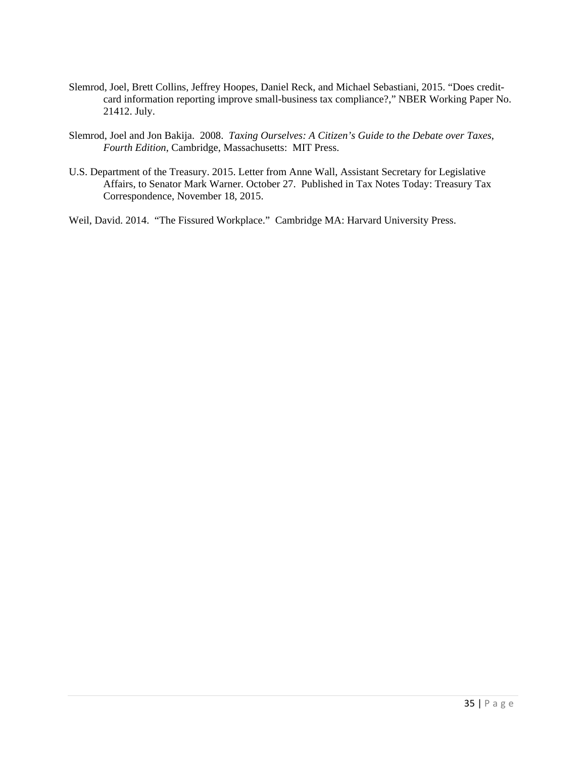- Slemrod, Joel, Brett Collins, Jeffrey Hoopes, Daniel Reck, and Michael Sebastiani, 2015. "Does creditcard information reporting improve small-business tax compliance?," NBER Working Paper No. 21412. July.
- Slemrod, Joel and Jon Bakija. 2008. *Taxing Ourselves: A Citizen's Guide to the Debate over Taxes*, *Fourth Edition*, Cambridge, Massachusetts: MIT Press.
- U.S. Department of the Treasury. 2015. Letter from Anne Wall, Assistant Secretary for Legislative Affairs, to Senator Mark Warner. October 27. Published in Tax Notes Today: Treasury Tax Correspondence, November 18, 2015.

Weil, David. 2014. "The Fissured Workplace." Cambridge MA: Harvard University Press.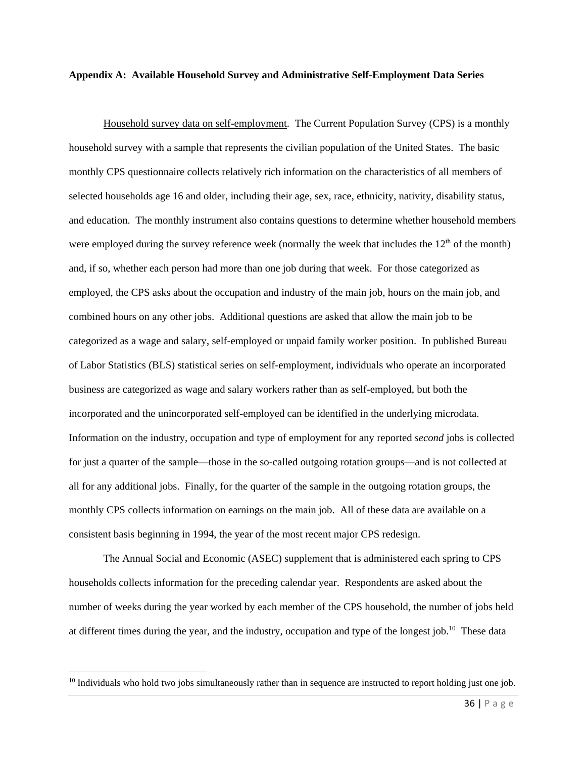#### **Appendix A: Available Household Survey and Administrative Self-Employment Data Series**

 Household survey data on self-employment. The Current Population Survey (CPS) is a monthly household survey with a sample that represents the civilian population of the United States. The basic monthly CPS questionnaire collects relatively rich information on the characteristics of all members of selected households age 16 and older, including their age, sex, race, ethnicity, nativity, disability status, and education. The monthly instrument also contains questions to determine whether household members were employed during the survey reference week (normally the week that includes the  $12<sup>th</sup>$  of the month) and, if so, whether each person had more than one job during that week. For those categorized as employed, the CPS asks about the occupation and industry of the main job, hours on the main job, and combined hours on any other jobs. Additional questions are asked that allow the main job to be categorized as a wage and salary, self-employed or unpaid family worker position. In published Bureau of Labor Statistics (BLS) statistical series on self-employment, individuals who operate an incorporated business are categorized as wage and salary workers rather than as self-employed, but both the incorporated and the unincorporated self-employed can be identified in the underlying microdata. Information on the industry, occupation and type of employment for any reported *second* jobs is collected for just a quarter of the sample—those in the so-called outgoing rotation groups—and is not collected at all for any additional jobs. Finally, for the quarter of the sample in the outgoing rotation groups, the monthly CPS collects information on earnings on the main job. All of these data are available on a consistent basis beginning in 1994, the year of the most recent major CPS redesign.

 The Annual Social and Economic (ASEC) supplement that is administered each spring to CPS households collects information for the preceding calendar year. Respondents are asked about the number of weeks during the year worked by each member of the CPS household, the number of jobs held at different times during the year, and the industry, occupation and type of the longest job.10 These data

 $10$  Individuals who hold two jobs simultaneously rather than in sequence are instructed to report holding just one job.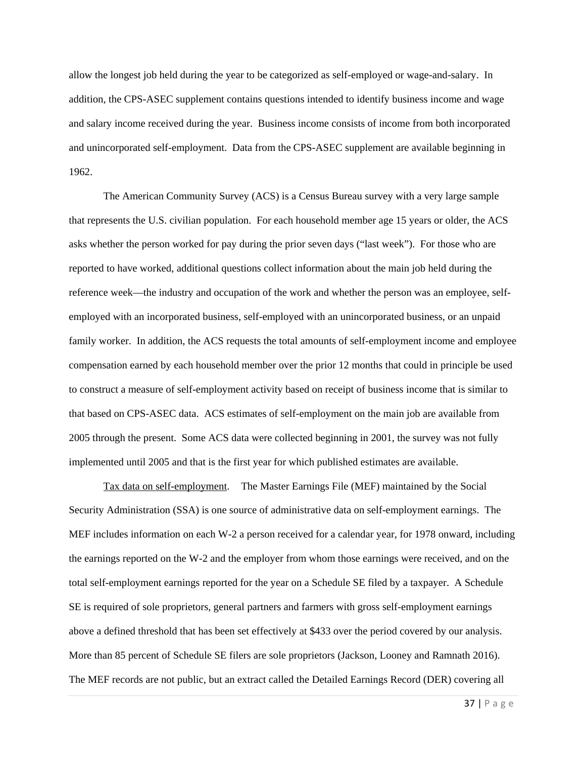allow the longest job held during the year to be categorized as self-employed or wage-and-salary. In addition, the CPS-ASEC supplement contains questions intended to identify business income and wage and salary income received during the year. Business income consists of income from both incorporated and unincorporated self-employment. Data from the CPS-ASEC supplement are available beginning in 1962.

 The American Community Survey (ACS) is a Census Bureau survey with a very large sample that represents the U.S. civilian population. For each household member age 15 years or older, the ACS asks whether the person worked for pay during the prior seven days ("last week"). For those who are reported to have worked, additional questions collect information about the main job held during the reference week—the industry and occupation of the work and whether the person was an employee, selfemployed with an incorporated business, self-employed with an unincorporated business, or an unpaid family worker. In addition, the ACS requests the total amounts of self-employment income and employee compensation earned by each household member over the prior 12 months that could in principle be used to construct a measure of self-employment activity based on receipt of business income that is similar to that based on CPS-ASEC data. ACS estimates of self-employment on the main job are available from 2005 through the present. Some ACS data were collected beginning in 2001, the survey was not fully implemented until 2005 and that is the first year for which published estimates are available.

 Tax data on self-employment. The Master Earnings File (MEF) maintained by the Social Security Administration (SSA) is one source of administrative data on self-employment earnings. The MEF includes information on each W-2 a person received for a calendar year, for 1978 onward, including the earnings reported on the W-2 and the employer from whom those earnings were received, and on the total self-employment earnings reported for the year on a Schedule SE filed by a taxpayer. A Schedule SE is required of sole proprietors, general partners and farmers with gross self-employment earnings above a defined threshold that has been set effectively at \$433 over the period covered by our analysis. More than 85 percent of Schedule SE filers are sole proprietors (Jackson, Looney and Ramnath 2016). The MEF records are not public, but an extract called the Detailed Earnings Record (DER) covering all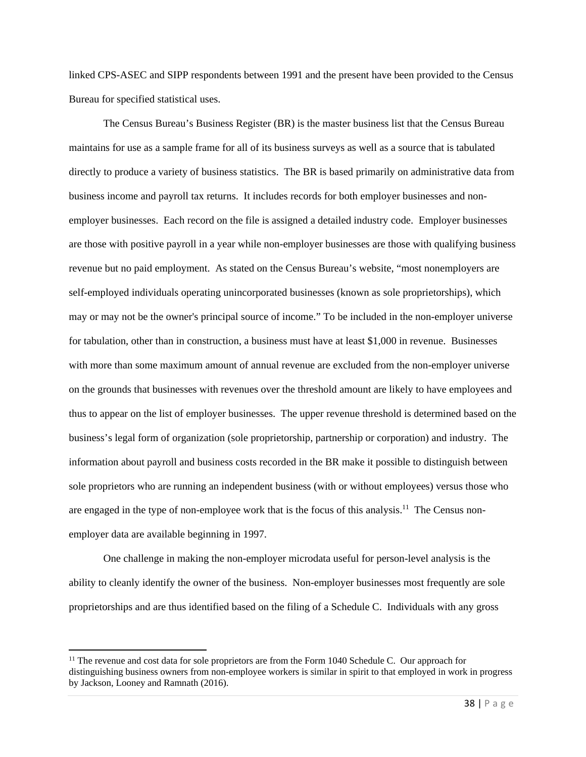linked CPS-ASEC and SIPP respondents between 1991 and the present have been provided to the Census Bureau for specified statistical uses.

The Census Bureau's Business Register (BR) is the master business list that the Census Bureau maintains for use as a sample frame for all of its business surveys as well as a source that is tabulated directly to produce a variety of business statistics. The BR is based primarily on administrative data from business income and payroll tax returns. It includes records for both employer businesses and nonemployer businesses. Each record on the file is assigned a detailed industry code. Employer businesses are those with positive payroll in a year while non-employer businesses are those with qualifying business revenue but no paid employment. As stated on the Census Bureau's website, "most nonemployers are self-employed individuals operating unincorporated businesses (known as sole proprietorships), which may or may not be the owner's principal source of income." To be included in the non-employer universe for tabulation, other than in construction, a business must have at least \$1,000 in revenue. Businesses with more than some maximum amount of annual revenue are excluded from the non-employer universe on the grounds that businesses with revenues over the threshold amount are likely to have employees and thus to appear on the list of employer businesses. The upper revenue threshold is determined based on the business's legal form of organization (sole proprietorship, partnership or corporation) and industry. The information about payroll and business costs recorded in the BR make it possible to distinguish between sole proprietors who are running an independent business (with or without employees) versus those who are engaged in the type of non-employee work that is the focus of this analysis.<sup>11</sup> The Census nonemployer data are available beginning in 1997.

One challenge in making the non-employer microdata useful for person-level analysis is the ability to cleanly identify the owner of the business. Non-employer businesses most frequently are sole proprietorships and are thus identified based on the filing of a Schedule C. Individuals with any gross

<sup>&</sup>lt;sup>11</sup> The revenue and cost data for sole proprietors are from the Form 1040 Schedule C. Our approach for distinguishing business owners from non-employee workers is similar in spirit to that employed in work in progress by Jackson, Looney and Ramnath (2016).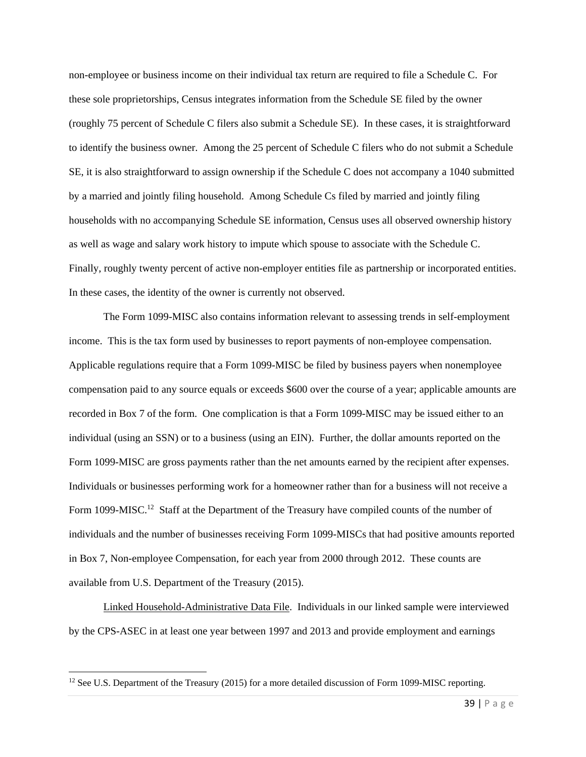non-employee or business income on their individual tax return are required to file a Schedule C. For these sole proprietorships, Census integrates information from the Schedule SE filed by the owner (roughly 75 percent of Schedule C filers also submit a Schedule SE). In these cases, it is straightforward to identify the business owner. Among the 25 percent of Schedule C filers who do not submit a Schedule SE, it is also straightforward to assign ownership if the Schedule C does not accompany a 1040 submitted by a married and jointly filing household. Among Schedule Cs filed by married and jointly filing households with no accompanying Schedule SE information, Census uses all observed ownership history as well as wage and salary work history to impute which spouse to associate with the Schedule C. Finally, roughly twenty percent of active non-employer entities file as partnership or incorporated entities. In these cases, the identity of the owner is currently not observed.

 The Form 1099-MISC also contains information relevant to assessing trends in self-employment income. This is the tax form used by businesses to report payments of non-employee compensation. Applicable regulations require that a Form 1099-MISC be filed by business payers when nonemployee compensation paid to any source equals or exceeds \$600 over the course of a year; applicable amounts are recorded in Box 7 of the form. One complication is that a Form 1099-MISC may be issued either to an individual (using an SSN) or to a business (using an EIN). Further, the dollar amounts reported on the Form 1099-MISC are gross payments rather than the net amounts earned by the recipient after expenses. Individuals or businesses performing work for a homeowner rather than for a business will not receive a Form 1099-MISC.<sup>12</sup> Staff at the Department of the Treasury have compiled counts of the number of individuals and the number of businesses receiving Form 1099-MISCs that had positive amounts reported in Box 7, Non-employee Compensation, for each year from 2000 through 2012. These counts are available from U.S. Department of the Treasury (2015).

 Linked Household-Administrative Data File. Individuals in our linked sample were interviewed by the CPS-ASEC in at least one year between 1997 and 2013 and provide employment and earnings

<sup>&</sup>lt;sup>12</sup> See U.S. Department of the Treasury (2015) for a more detailed discussion of Form 1099-MISC reporting.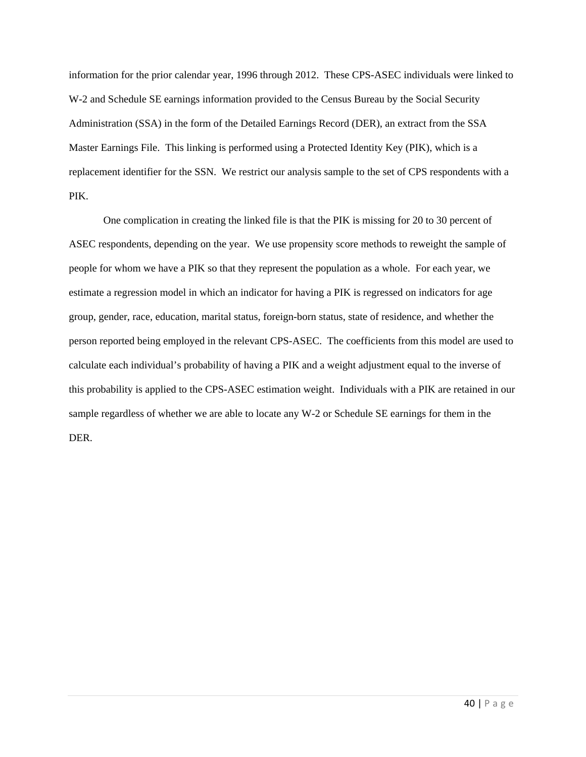information for the prior calendar year, 1996 through 2012. These CPS-ASEC individuals were linked to W-2 and Schedule SE earnings information provided to the Census Bureau by the Social Security Administration (SSA) in the form of the Detailed Earnings Record (DER), an extract from the SSA Master Earnings File. This linking is performed using a Protected Identity Key (PIK), which is a replacement identifier for the SSN. We restrict our analysis sample to the set of CPS respondents with a PIK.

 One complication in creating the linked file is that the PIK is missing for 20 to 30 percent of ASEC respondents, depending on the year. We use propensity score methods to reweight the sample of people for whom we have a PIK so that they represent the population as a whole. For each year, we estimate a regression model in which an indicator for having a PIK is regressed on indicators for age group, gender, race, education, marital status, foreign-born status, state of residence, and whether the person reported being employed in the relevant CPS-ASEC. The coefficients from this model are used to calculate each individual's probability of having a PIK and a weight adjustment equal to the inverse of this probability is applied to the CPS-ASEC estimation weight. Individuals with a PIK are retained in our sample regardless of whether we are able to locate any W-2 or Schedule SE earnings for them in the DER.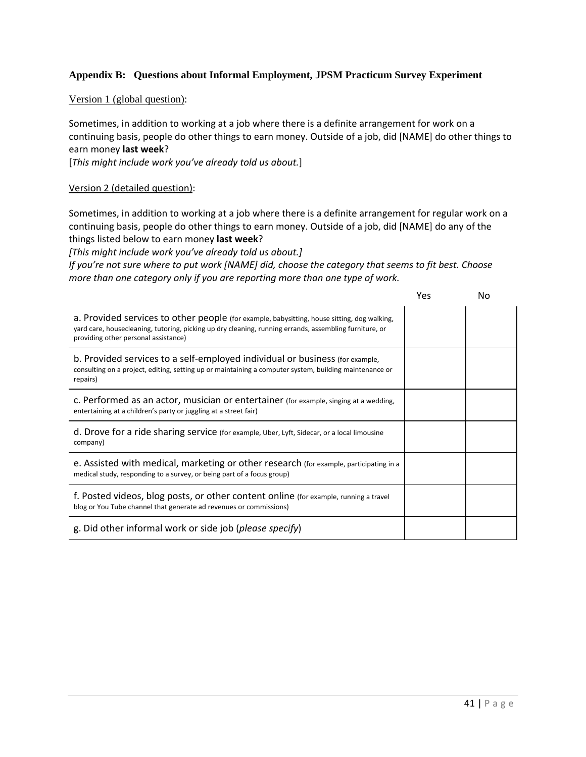## **Appendix B: Questions about Informal Employment, JPSM Practicum Survey Experiment**

### Version 1 (global question):

Sometimes, in addition to working at a job where there is a definite arrangement for work on a continuing basis, people do other things to earn money. Outside of a job, did [NAME] do other things to earn money **last week**?

[*This might include work you've already told us about.*]

### Version 2 (detailed question):

Sometimes, in addition to working at a job where there is a definite arrangement for regular work on a continuing basis, people do other things to earn money. Outside of a job, did [NAME] do any of the things listed below to earn money **last week**?

*[This might include work you've already told us about.]* 

If you're not sure where to put work [NAME] did, choose the category that seems to fit best. Choose *more than one category only if you are reporting more than one type of work.* 

|                                                                                                                                                                                                                                               | Yes | N٥ |
|-----------------------------------------------------------------------------------------------------------------------------------------------------------------------------------------------------------------------------------------------|-----|----|
| a. Provided services to other people (for example, babysitting, house sitting, dog walking,<br>yard care, housecleaning, tutoring, picking up dry cleaning, running errands, assembling furniture, or<br>providing other personal assistance) |     |    |
| b. Provided services to a self-employed individual or business (for example,<br>consulting on a project, editing, setting up or maintaining a computer system, building maintenance or<br>repairs)                                            |     |    |
| c. Performed as an actor, musician or entertainer (for example, singing at a wedding,<br>entertaining at a children's party or juggling at a street fair)                                                                                     |     |    |
| d. Drove for a ride sharing service (for example, Uber, Lyft, Sidecar, or a local limousine<br>company)                                                                                                                                       |     |    |
| e. Assisted with medical, marketing or other research (for example, participating in a<br>medical study, responding to a survey, or being part of a focus group)                                                                              |     |    |
| f. Posted videos, blog posts, or other content online (for example, running a travel<br>blog or You Tube channel that generate ad revenues or commissions)                                                                                    |     |    |
| g. Did other informal work or side job (please specify)                                                                                                                                                                                       |     |    |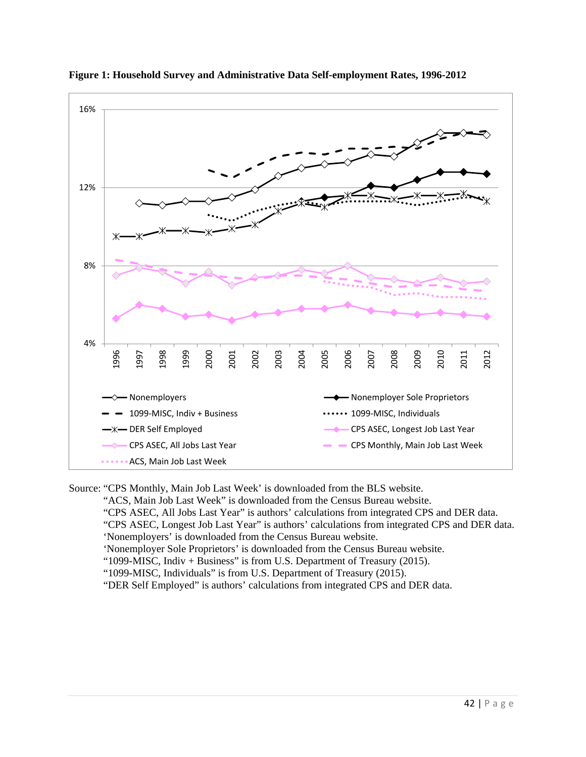



Source: "CPS Monthly, Main Job Last Week' is downloaded from the BLS website.

"ACS, Main Job Last Week" is downloaded from the Census Bureau website.

"CPS ASEC, All Jobs Last Year" is authors' calculations from integrated CPS and DER data.

 "CPS ASEC, Longest Job Last Year" is authors' calculations from integrated CPS and DER data. 'Nonemployers' is downloaded from the Census Bureau website.

'Nonemployer Sole Proprietors' is downloaded from the Census Bureau website.

"1099-MISC, Indiv + Business" is from U.S. Department of Treasury (2015).

"1099-MISC, Individuals" is from U.S. Department of Treasury (2015).

"DER Self Employed" is authors' calculations from integrated CPS and DER data.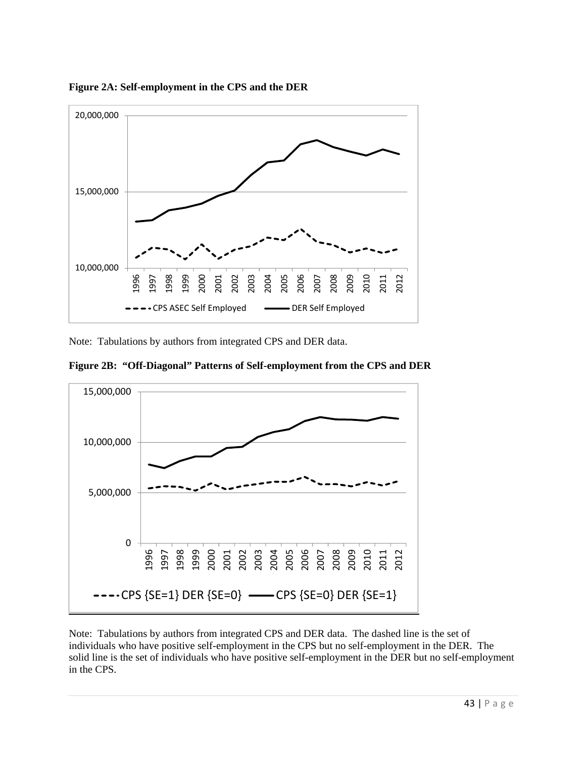

**Figure 2A: Self-employment in the CPS and the DER** 

Note: Tabulations by authors from integrated CPS and DER data.

**Figure 2B: "Off-Diagonal" Patterns of Self-employment from the CPS and DER** 



Note: Tabulations by authors from integrated CPS and DER data. The dashed line is the set of individuals who have positive self-employment in the CPS but no self-employment in the DER. The solid line is the set of individuals who have positive self-employment in the DER but no self-employment in the CPS.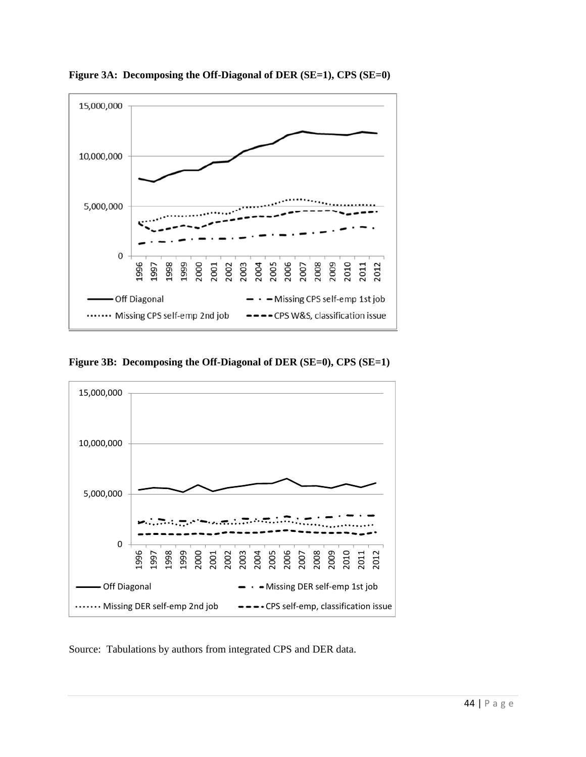

**Figure 3A: Decomposing the Off-Diagonal of DER (SE=1), CPS (SE=0)** 





Source: Tabulations by authors from integrated CPS and DER data.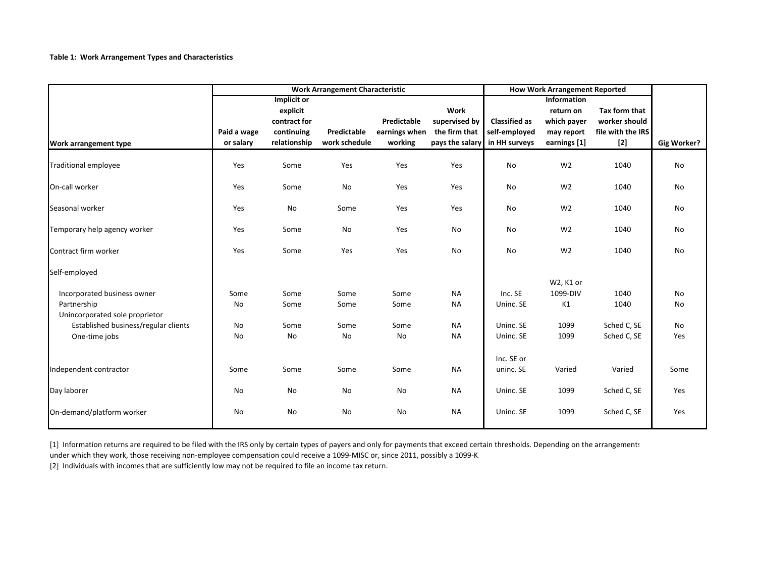#### **Table 1: Work Arrangement Types and Characteristics**

|                                      | <b>Work Arrangement Characteristic</b> |               |               |               | <b>How Work Arrangement Reported</b> |                      |                    |                   |             |
|--------------------------------------|----------------------------------------|---------------|---------------|---------------|--------------------------------------|----------------------|--------------------|-------------------|-------------|
|                                      |                                        | Implicit or   |               |               |                                      |                      | <b>Information</b> |                   |             |
|                                      |                                        | explicit      |               |               | <b>Work</b>                          |                      | return on          | Tax form that     |             |
|                                      |                                        | contract for  |               | Predictable   | supervised by                        | <b>Classified as</b> | which payer        | worker should     |             |
|                                      | Paid a wage                            | continuing    | Predictable   | earnings when | the firm that                        | self-employed        | may report         | file with the IRS |             |
| Work arrangement type                | or salary                              | relationship  | work schedule | working       | pays the salary                      | in HH surveys        | earnings [1]       | $[2]$             | Gig Worker? |
| <b>Traditional employee</b>          | Yes                                    | Some          | Yes           | Yes           | Yes                                  | No                   | W <sub>2</sub>     | 1040              | <b>No</b>   |
| On-call worker                       | Yes                                    | Some          | No            | Yes           | Yes                                  | No                   | W <sub>2</sub>     | 1040              | No          |
| Seasonal worker                      | Yes                                    | No            | Some          | Yes           | Yes                                  | <b>No</b>            | W <sub>2</sub>     | 1040              | <b>No</b>   |
| Temporary help agency worker         | Yes                                    | Some          | No            | Yes           | No                                   | No                   | W <sub>2</sub>     | 1040              | No          |
| Contract firm worker                 | Yes                                    | Some          | Yes           | Yes           | No                                   | No                   | W <sub>2</sub>     | 1040              | No          |
| Self-employed                        |                                        |               |               |               |                                      |                      |                    |                   |             |
|                                      |                                        |               |               |               |                                      |                      | W2, K1 or          |                   |             |
| Incorporated business owner          | Some                                   | Some          | Some          | Some          | <b>NA</b>                            | Inc. SE              | 1099-DIV           | 1040              | <b>No</b>   |
| Partnership                          | No                                     | Some          | Some          | Some          | <b>NA</b>                            | Uninc. SE            | K1                 | 1040              | No          |
| Unincorporated sole proprietor       |                                        |               |               |               |                                      |                      |                    |                   |             |
| Established business/regular clients | No                                     | Some          | Some          | Some          | <b>NA</b>                            | Uninc. SE            | 1099               | Sched C, SE       | <b>No</b>   |
| One-time jobs                        | No                                     | $\mathsf{No}$ | No            | No            | <b>NA</b>                            | Uninc. SE            | 1099               | Sched C, SE       | Yes         |
|                                      |                                        |               |               |               |                                      | Inc. SE or           |                    |                   |             |
| Independent contractor               | Some                                   | Some          | Some          | Some          | <b>NA</b>                            | uninc. SE            | Varied             | Varied            | Some        |
| Day laborer                          | No                                     | No            | No            | No            | <b>NA</b>                            | Uninc. SE            | 1099               | Sched C, SE       | Yes         |
| On-demand/platform worker            | No                                     | No            | No            | No            | <b>NA</b>                            | Uninc. SE            | 1099               | Sched C, SE       | Yes         |

[1] Information returns are required to be filed with the IRS only by certain types of payers and only for payments that exceed certain thresholds. Depending on the arrangements

under which they work, those receiving non‐employee compensation could receive <sup>a</sup> 1099‐MISC or, since 2011, possibly <sup>a</sup> 1099‐K.

[2] Individuals with incomes that are sufficiently low may not be required to file an income tax return.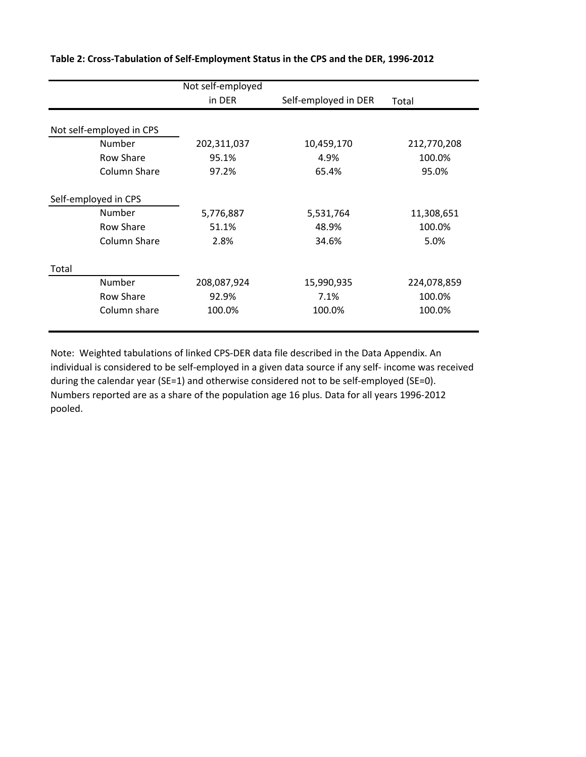|                          | Not self-employed |                      |             |  |  |  |
|--------------------------|-------------------|----------------------|-------------|--|--|--|
|                          | in DER            | Self-employed in DER | Total       |  |  |  |
|                          |                   |                      |             |  |  |  |
| Not self-employed in CPS |                   |                      |             |  |  |  |
| Number                   | 202,311,037       | 10,459,170           | 212,770,208 |  |  |  |
| Row Share                | 95.1%             | 4.9%                 | 100.0%      |  |  |  |
| Column Share             | 97.2%             | 65.4%                | 95.0%       |  |  |  |
| Self-employed in CPS     |                   |                      |             |  |  |  |
| Number                   | 5,776,887         | 5,531,764            | 11,308,651  |  |  |  |
| Row Share                | 51.1%             | 48.9%                | 100.0%      |  |  |  |
| Column Share             | 2.8%              | 34.6%                | 5.0%        |  |  |  |
| Total                    |                   |                      |             |  |  |  |
| Number                   | 208,087,924       | 15,990,935           | 224,078,859 |  |  |  |
| Row Share                | 92.9%             | 7.1%                 | 100.0%      |  |  |  |
| Column share             | 100.0%            | 100.0%               | 100.0%      |  |  |  |

**Table 2: Cross‐Tabulation of Self‐Employment Status in the CPS and the DER, 1996‐2012**

Note: Weighted tabulations of linked CPS‐DER data file described in the Data Appendix. An individual is considered to be self‐employed in a given data source if any self‐ income was received during the calendar year (SE=1) and otherwise considered not to be self-employed (SE=0). Numbers reported are as a share of the population age 16 plus. Data for all years 1996‐2012 pooled.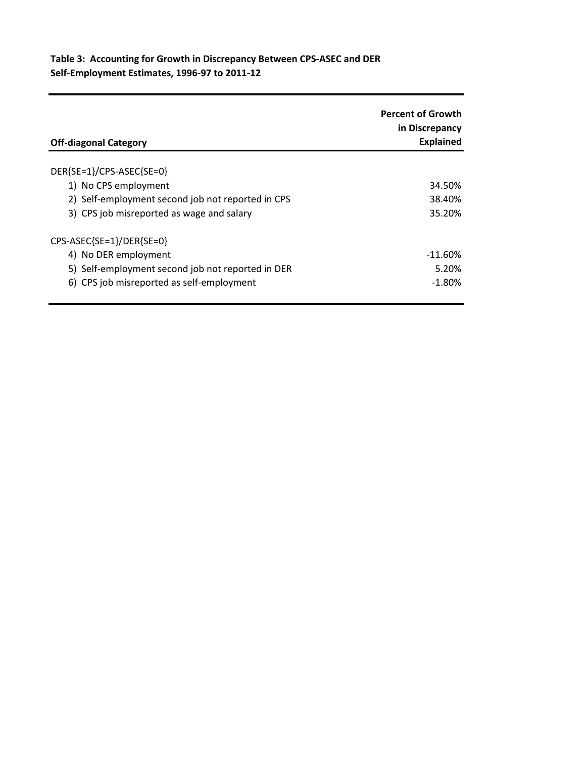# **Table 3: Accounting for Growth in Discrepancy Between CPS‐ASEC and DER Self‐Employment Estimates, 1996‐97 to 2011‐12**

| <b>Off-diagonal Category</b>                      | <b>Percent of Growth</b><br>in Discrepancy<br><b>Explained</b> |
|---------------------------------------------------|----------------------------------------------------------------|
| DER{SE=1}/CPS-ASEC{SE=0}                          |                                                                |
| 1) No CPS employment                              | 34.50%                                                         |
| 2) Self-employment second job not reported in CPS | 38.40%                                                         |
| 3) CPS job misreported as wage and salary         | 35.20%                                                         |
| CPS-ASEC{SE=1}/DER{SE=0}                          |                                                                |
| 4) No DER employment                              | -11.60%                                                        |
| 5) Self-employment second job not reported in DER | 5.20%                                                          |
| 6) CPS job misreported as self-employment         | $-1.80\%$                                                      |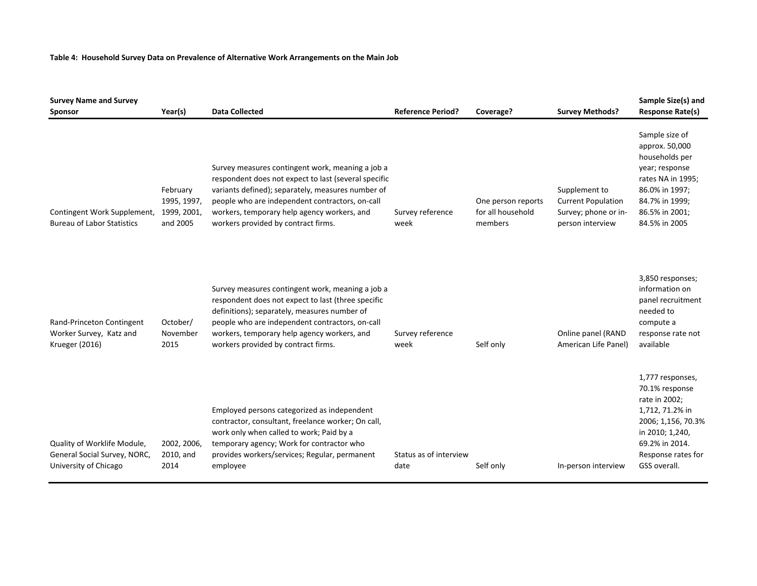#### **Table 4: Household Survey Data on Prevalence of Alternative Work Arrangements on the Main Job**

| <b>Survey Name and Survey</b><br>Sponsor                                             | Year(s)                                            | <b>Data Collected</b>                                                                                                                                                                                                                                                                                  | <b>Reference Period?</b>       | Coverage?                                          | <b>Survey Methods?</b>                                                                 | Sample Size(s) and<br><b>Response Rate(s)</b>                                                                                                                           |
|--------------------------------------------------------------------------------------|----------------------------------------------------|--------------------------------------------------------------------------------------------------------------------------------------------------------------------------------------------------------------------------------------------------------------------------------------------------------|--------------------------------|----------------------------------------------------|----------------------------------------------------------------------------------------|-------------------------------------------------------------------------------------------------------------------------------------------------------------------------|
| Contingent Work Supplement,<br><b>Bureau of Labor Statistics</b>                     | February<br>1995, 1997,<br>1999, 2001,<br>and 2005 | Survey measures contingent work, meaning a job a<br>respondent does not expect to last (several specific<br>variants defined); separately, measures number of<br>people who are independent contractors, on-call<br>workers, temporary help agency workers, and<br>workers provided by contract firms. | Survey reference<br>week       | One person reports<br>for all household<br>members | Supplement to<br><b>Current Population</b><br>Survey; phone or in-<br>person interview | Sample size of<br>approx. 50,000<br>households per<br>year; response<br>rates NA in 1995;<br>86.0% in 1997;<br>84.7% in 1999;<br>86.5% in 2001;<br>84.5% in 2005        |
| Rand-Princeton Contingent<br>Worker Survey, Katz and<br><b>Krueger (2016)</b>        | October/<br>November<br>2015                       | Survey measures contingent work, meaning a job a<br>respondent does not expect to last (three specific<br>definitions); separately, measures number of<br>people who are independent contractors, on-call<br>workers, temporary help agency workers, and<br>workers provided by contract firms.        | Survey reference<br>week       | Self only                                          | Online panel (RAND<br>American Life Panel)                                             | 3,850 responses;<br>information on<br>panel recruitment<br>needed to<br>compute a<br>response rate not<br>available                                                     |
| Quality of Worklife Module,<br>General Social Survey, NORC,<br>University of Chicago | 2002, 2006,<br>2010, and<br>2014                   | Employed persons categorized as independent<br>contractor, consultant, freelance worker; On call,<br>work only when called to work; Paid by a<br>temporary agency; Work for contractor who<br>provides workers/services; Regular, permanent<br>employee                                                | Status as of interview<br>date | Self only                                          | In-person interview                                                                    | 1,777 responses,<br>70.1% response<br>rate in 2002;<br>1,712, 71.2% in<br>2006; 1,156, 70.3%<br>in 2010; 1,240,<br>69.2% in 2014.<br>Response rates for<br>GSS overall. |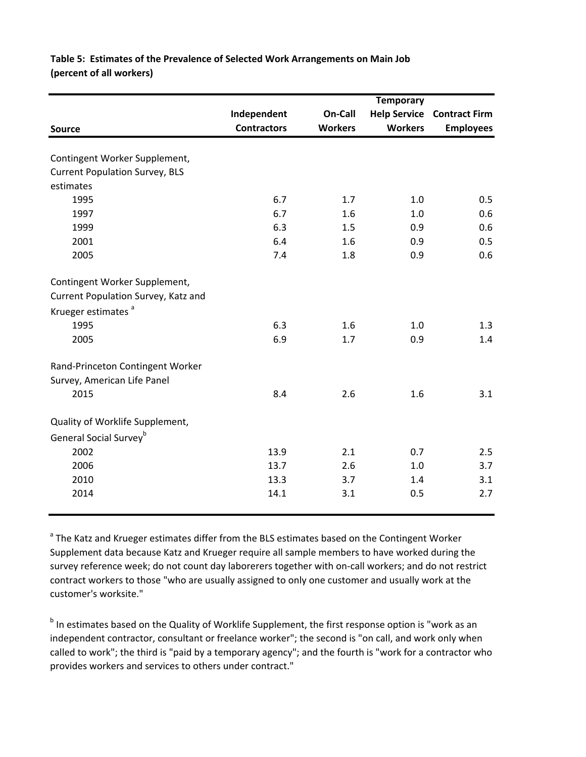# **Table 5: Estimates of the Prevalence of Selected Work Arrangements on Main Job (percent of all workers)**

|                                       |                    |                | <b>Temporary</b>    |                      |
|---------------------------------------|--------------------|----------------|---------------------|----------------------|
|                                       | Independent        | On-Call        | <b>Help Service</b> | <b>Contract Firm</b> |
| <b>Source</b>                         | <b>Contractors</b> | <b>Workers</b> | <b>Workers</b>      | <b>Employees</b>     |
|                                       |                    |                |                     |                      |
| Contingent Worker Supplement,         |                    |                |                     |                      |
| <b>Current Population Survey, BLS</b> |                    |                |                     |                      |
| estimates                             |                    |                |                     |                      |
| 1995                                  | 6.7                | 1.7            | 1.0                 | 0.5                  |
| 1997                                  | 6.7                | 1.6            | 1.0                 | 0.6                  |
| 1999                                  | 6.3                | 1.5            | 0.9                 | 0.6                  |
| 2001                                  | 6.4                | 1.6            | 0.9                 | 0.5                  |
| 2005                                  | 7.4                | 1.8            | 0.9                 | 0.6                  |
| Contingent Worker Supplement,         |                    |                |                     |                      |
| Current Population Survey, Katz and   |                    |                |                     |                      |
| Krueger estimates <sup>a</sup>        |                    |                |                     |                      |
| 1995                                  | 6.3                | 1.6            | 1.0                 | 1.3                  |
| 2005                                  | 6.9                | 1.7            | 0.9                 | 1.4                  |
| Rand-Princeton Contingent Worker      |                    |                |                     |                      |
| Survey, American Life Panel           |                    |                |                     |                      |
| 2015                                  | 8.4                | 2.6            | 1.6                 | 3.1                  |
| Quality of Worklife Supplement,       |                    |                |                     |                      |
| General Social Survey <sup>b</sup>    |                    |                |                     |                      |
| 2002                                  | 13.9               | 2.1            | 0.7                 | 2.5                  |
| 2006                                  | 13.7               | 2.6            | 1.0                 | 3.7                  |
| 2010                                  | 13.3               | 3.7            | 1.4                 | 3.1                  |
| 2014                                  | 14.1               | 3.1            | 0.5                 | 2.7                  |
|                                       |                    |                |                     |                      |

<sup>a</sup> The Katz and Krueger estimates differ from the BLS estimates based on the Contingent Worker Supplement data because Katz and Krueger require all sample members to have worked during the survey reference week; do not count day laborerers together with on‐call workers; and do not restrict contract workers to those "who are usually assigned to only one customer and usually work at the customer's worksite."

b In estimates based on the Quality of Worklife Supplement, the first response option is "work as an independent contractor, consultant or freelance worker"; the second is "on call, and work only when called to work"; the third is "paid by a temporary agency"; and the fourth is "work for a contractor who provides workers and services to others under contract."